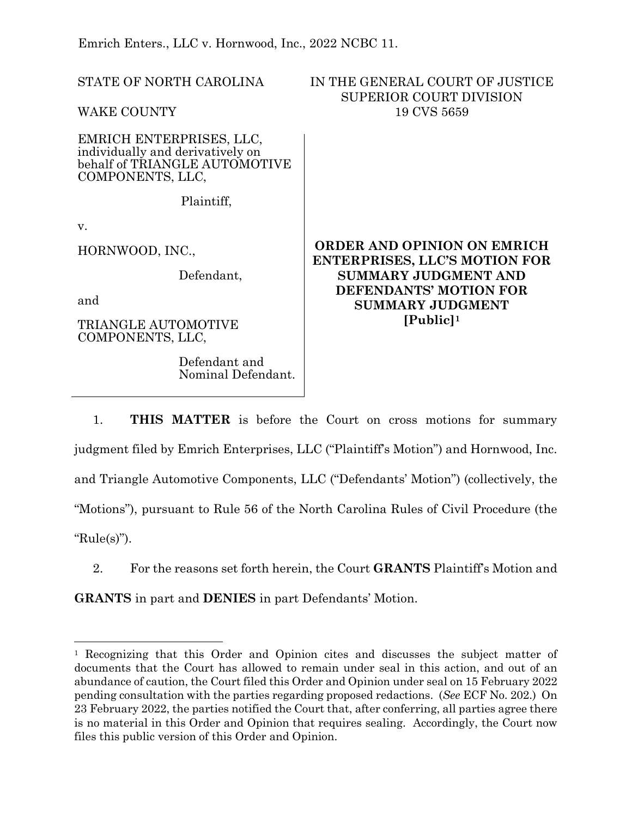Emrich Enters., LLC v. Hornwood, Inc., 2022 NCBC 11.

STATE OF NORTH CAROLINA WAKE COUNTY IN THE GENERAL COURT OF JUSTICE SUPERIOR COURT DIVISION 19 CVS 5659 EMRICH ENTERPRISES, LLC, individually and derivatively on behalf of TRIANGLE AUTOMOTIVE COMPONENTS, LLC, Plaintiff, v. HORNWOOD, INC., Defendant, and TRIANGLE AUTOMOTIVE COMPONENTS, LLC, Defendant and Nominal Defendant. **ORDER AND OPINION ON EMRICH ENTERPRISES, LLC'S MOTION FOR SUMMARY JUDGMENT AND DEFENDANTS' MOTION FOR SUMMARY JUDGMENT [Public][1](#page-0-0)**

1. **THIS MATTER** is before the Court on cross motions for summary judgment filed by Emrich Enterprises, LLC ("Plaintiff's Motion") and Hornwood, Inc. and Triangle Automotive Components, LLC ("Defendants' Motion") (collectively, the "Motions"), pursuant to Rule 56 of the North Carolina Rules of Civil Procedure (the "Rule(s)").

2. For the reasons set forth herein, the Court **GRANTS** Plaintiff's Motion and

**GRANTS** in part and **DENIES** in part Defendants' Motion.

<span id="page-0-0"></span><sup>1</sup> Recognizing that this Order and Opinion cites and discusses the subject matter of documents that the Court has allowed to remain under seal in this action, and out of an abundance of caution, the Court filed this Order and Opinion under seal on 15 February 2022 pending consultation with the parties regarding proposed redactions. (*See* ECF No. 202.) On 23 February 2022, the parties notified the Court that, after conferring, all parties agree there is no material in this Order and Opinion that requires sealing. Accordingly, the Court now files this public version of this Order and Opinion.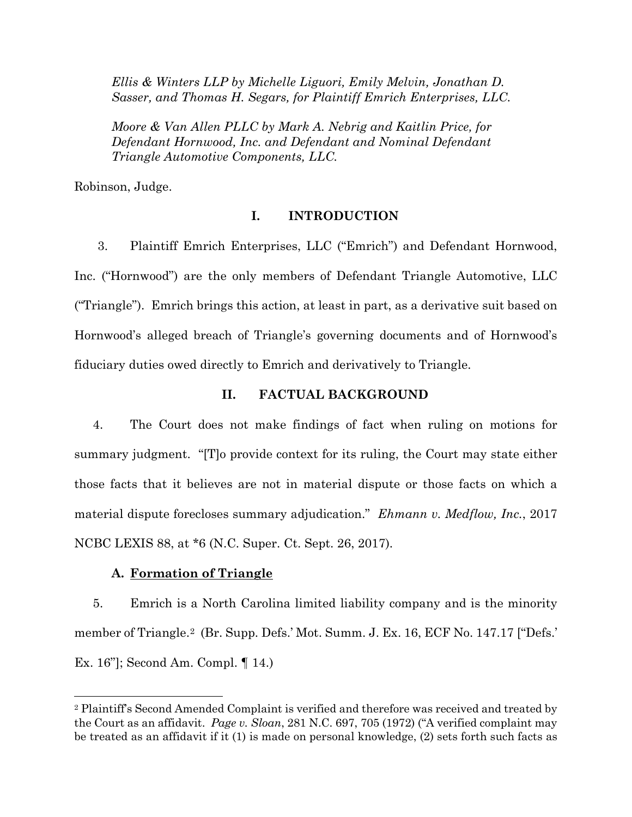*Ellis & Winters LLP by Michelle Liguori, Emily Melvin, Jonathan D. Sasser, and Thomas H. Segars, for Plaintiff Emrich Enterprises, LLC.* 

*Moore & Van Allen PLLC by Mark A. Nebrig and Kaitlin Price, for Defendant Hornwood, Inc. and Defendant and Nominal Defendant Triangle Automotive Components, LLC.* 

Robinson, Judge.

# **I. INTRODUCTION**

3. Plaintiff Emrich Enterprises, LLC ("Emrich") and Defendant Hornwood, Inc. ("Hornwood") are the only members of Defendant Triangle Automotive, LLC ("Triangle"). Emrich brings this action, at least in part, as a derivative suit based on Hornwood's alleged breach of Triangle's governing documents and of Hornwood's fiduciary duties owed directly to Emrich and derivatively to Triangle.

# **II. FACTUAL BACKGROUND**

4. The Court does not make findings of fact when ruling on motions for summary judgment. "[T]o provide context for its ruling, the Court may state either those facts that it believes are not in material dispute or those facts on which a material dispute forecloses summary adjudication." *Ehmann v. Medflow, Inc.*, 2017 NCBC LEXIS 88, at \*6 (N.C. Super. Ct. Sept. 26, 2017).

## **A. Formation of Triangle**

5. Emrich is a North Carolina limited liability company and is the minority member of Triangle.[2](#page-1-0) (Br. Supp. Defs.' Mot. Summ. J. Ex. 16, ECF No. 147.17 ["Defs.' Ex. 16"]; Second Am. Compl. ¶ 14.)

<span id="page-1-0"></span><sup>2</sup> Plaintiff's Second Amended Complaint is verified and therefore was received and treated by the Court as an affidavit. *Page v. Sloan*, 281 N.C. 697, 705 (1972) ("A verified complaint may be treated as an affidavit if it (1) is made on personal knowledge, (2) sets forth such facts as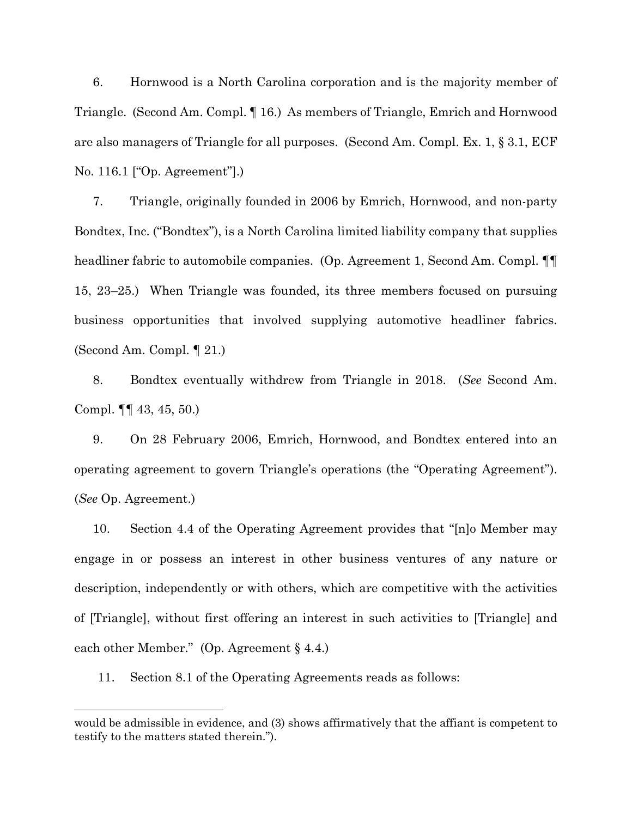6. Hornwood is a North Carolina corporation and is the majority member of Triangle. (Second Am. Compl. ¶ 16.) As members of Triangle, Emrich and Hornwood are also managers of Triangle for all purposes. (Second Am. Compl. Ex. 1, § 3.1, ECF No. 116.1 ["Op. Agreement"].)

7. Triangle, originally founded in 2006 by Emrich, Hornwood, and non-party Bondtex, Inc. ("Bondtex"), is a North Carolina limited liability company that supplies headliner fabric to automobile companies. (Op. Agreement 1, Second Am. Compl. ¶¶ 15, 23–25.) When Triangle was founded, its three members focused on pursuing business opportunities that involved supplying automotive headliner fabrics. (Second Am. Compl. ¶ 21.)

8. Bondtex eventually withdrew from Triangle in 2018. (*See* Second Am. Compl. ¶¶ 43, 45, 50.)

9. On 28 February 2006, Emrich, Hornwood, and Bondtex entered into an operating agreement to govern Triangle's operations (the "Operating Agreement"). (*See* Op. Agreement.)

10. Section 4.4 of the Operating Agreement provides that "[n]o Member may engage in or possess an interest in other business ventures of any nature or description, independently or with others, which are competitive with the activities of [Triangle], without first offering an interest in such activities to [Triangle] and each other Member." (Op. Agreement § 4.4.)

11. Section 8.1 of the Operating Agreements reads as follows:

would be admissible in evidence, and (3) shows affirmatively that the affiant is competent to testify to the matters stated therein.").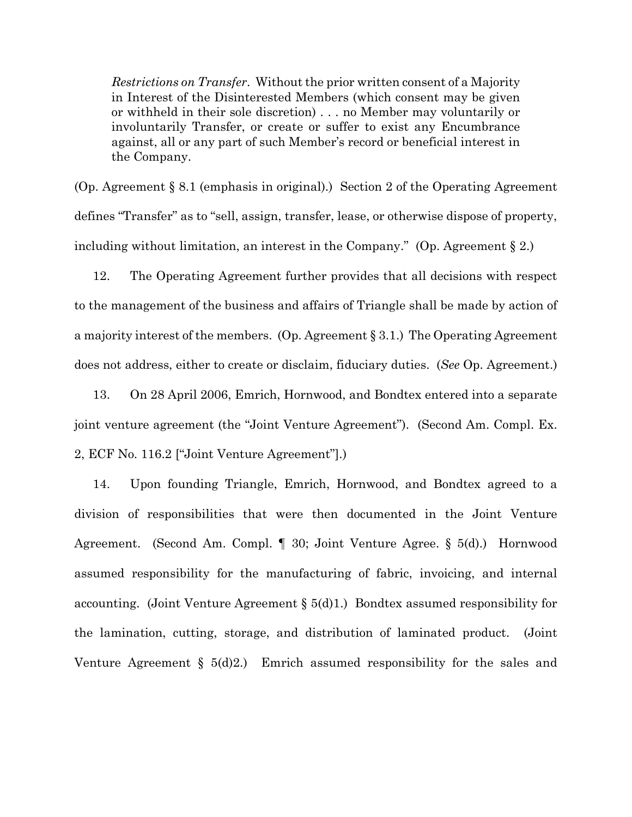*Restrictions on Transfer*. Without the prior written consent of a Majority in Interest of the Disinterested Members (which consent may be given or withheld in their sole discretion) . . . no Member may voluntarily or involuntarily Transfer, or create or suffer to exist any Encumbrance against, all or any part of such Member's record or beneficial interest in the Company.

(Op. Agreement § 8.1 (emphasis in original).) Section 2 of the Operating Agreement defines "Transfer" as to "sell, assign, transfer, lease, or otherwise dispose of property, including without limitation, an interest in the Company." (Op. Agreement  $\S 2$ .)

12. The Operating Agreement further provides that all decisions with respect to the management of the business and affairs of Triangle shall be made by action of a majority interest of the members. (Op. Agreement § 3.1.) The Operating Agreement does not address, either to create or disclaim, fiduciary duties. (*See* Op. Agreement.)

13. On 28 April 2006, Emrich, Hornwood, and Bondtex entered into a separate joint venture agreement (the "Joint Venture Agreement"). (Second Am. Compl. Ex. 2, ECF No. 116.2 ["Joint Venture Agreement"].)

14. Upon founding Triangle, Emrich, Hornwood, and Bondtex agreed to a division of responsibilities that were then documented in the Joint Venture Agreement. (Second Am. Compl. ¶ 30; Joint Venture Agree. § 5(d).) Hornwood assumed responsibility for the manufacturing of fabric, invoicing, and internal accounting. (Joint Venture Agreement  $\S$  5(d)1.) Bondtex assumed responsibility for the lamination, cutting, storage, and distribution of laminated product. (Joint Venture Agreement  $\S$  5(d)2.) Emrich assumed responsibility for the sales and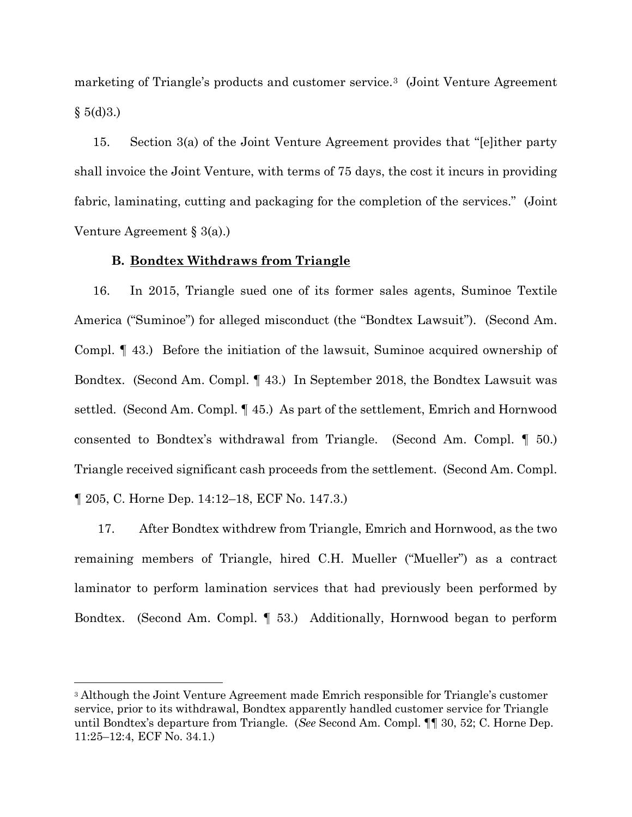marketing of Triangle's products and customer service.[3](#page-4-0) (Joint Venture Agreement  $§ 5(d)3.$ 

15. Section 3(a) of the Joint Venture Agreement provides that "[e]ither party shall invoice the Joint Venture, with terms of 75 days, the cost it incurs in providing fabric, laminating, cutting and packaging for the completion of the services." (Joint Venture Agreement § 3(a).)

# **B. Bondtex Withdraws from Triangle**

16. In 2015, Triangle sued one of its former sales agents, Suminoe Textile America ("Suminoe") for alleged misconduct (the "Bondtex Lawsuit"). (Second Am. Compl. ¶ 43.) Before the initiation of the lawsuit, Suminoe acquired ownership of Bondtex. (Second Am. Compl. ¶ 43.) In September 2018, the Bondtex Lawsuit was settled. (Second Am. Compl. ¶ 45.) As part of the settlement, Emrich and Hornwood consented to Bondtex's withdrawal from Triangle. (Second Am. Compl. ¶ 50.) Triangle received significant cash proceeds from the settlement. (Second Am. Compl. ¶ 205, C. Horne Dep. 14:12–18, ECF No. 147.3.)

17. After Bondtex withdrew from Triangle, Emrich and Hornwood, as the two remaining members of Triangle, hired C.H. Mueller ("Mueller") as a contract laminator to perform lamination services that had previously been performed by Bondtex. (Second Am. Compl. ¶ 53.) Additionally, Hornwood began to perform

<span id="page-4-0"></span><sup>3</sup> Although the Joint Venture Agreement made Emrich responsible for Triangle's customer service, prior to its withdrawal, Bondtex apparently handled customer service for Triangle until Bondtex's departure from Triangle. (*See* Second Am. Compl. ¶¶ 30, 52; C. Horne Dep. 11:25–12:4, ECF No. 34.1.)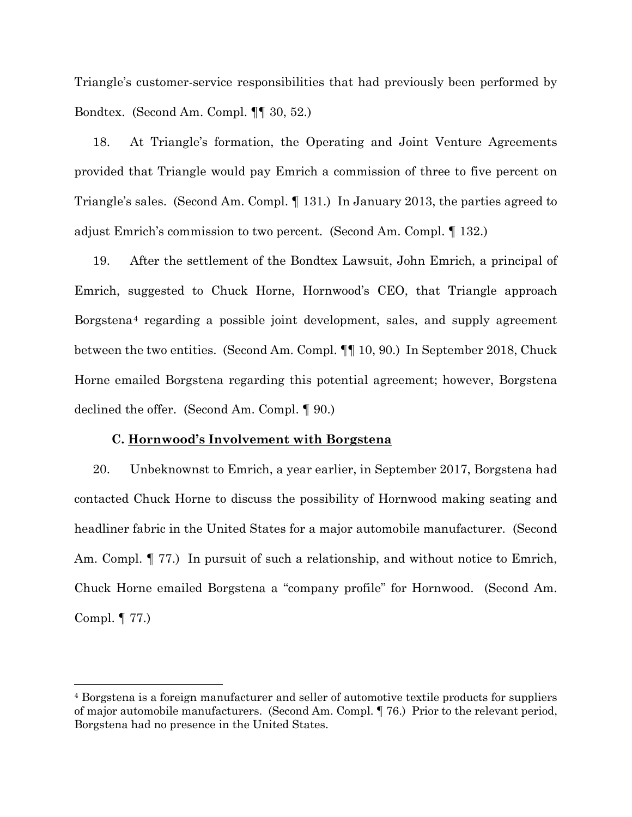Triangle's customer-service responsibilities that had previously been performed by Bondtex. (Second Am. Compl. ¶¶ 30, 52.)

18. At Triangle's formation, the Operating and Joint Venture Agreements provided that Triangle would pay Emrich a commission of three to five percent on Triangle's sales. (Second Am. Compl. ¶ 131.) In January 2013, the parties agreed to adjust Emrich's commission to two percent. (Second Am. Compl. ¶ 132.)

19. After the settlement of the Bondtex Lawsuit, John Emrich, a principal of Emrich, suggested to Chuck Horne, Hornwood's CEO, that Triangle approach Borgstena[4](#page-5-0) regarding a possible joint development, sales, and supply agreement between the two entities. (Second Am. Compl. ¶¶ 10, 90.) In September 2018, Chuck Horne emailed Borgstena regarding this potential agreement; however, Borgstena declined the offer. (Second Am. Compl. ¶ 90.)

### **C. Hornwood's Involvement with Borgstena**

20. Unbeknownst to Emrich, a year earlier, in September 2017, Borgstena had contacted Chuck Horne to discuss the possibility of Hornwood making seating and headliner fabric in the United States for a major automobile manufacturer. (Second Am. Compl. ¶ 77.) In pursuit of such a relationship, and without notice to Emrich, Chuck Horne emailed Borgstena a "company profile" for Hornwood. (Second Am. Compl. ¶ 77.)

<span id="page-5-0"></span><sup>4</sup> Borgstena is a foreign manufacturer and seller of automotive textile products for suppliers of major automobile manufacturers. (Second Am. Compl. ¶ 76.) Prior to the relevant period, Borgstena had no presence in the United States.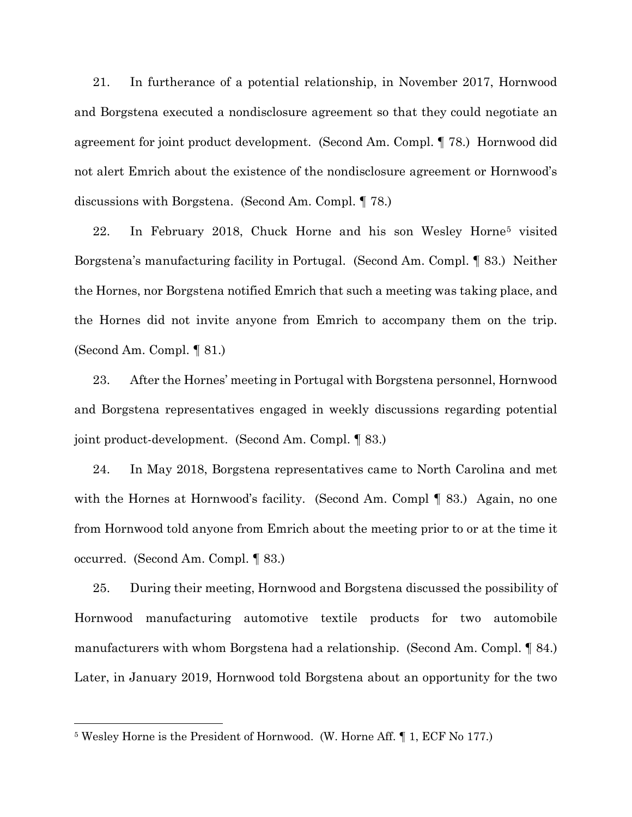21. In furtherance of a potential relationship, in November 2017, Hornwood and Borgstena executed a nondisclosure agreement so that they could negotiate an agreement for joint product development. (Second Am. Compl. ¶ 78.) Hornwood did not alert Emrich about the existence of the nondisclosure agreement or Hornwood's discussions with Borgstena. (Second Am. Compl. ¶ 78.)

22. In February 2018, Chuck Horne and his son Wesley Horne[5](#page-6-0) visited Borgstena's manufacturing facility in Portugal. (Second Am. Compl. ¶ 83.) Neither the Hornes, nor Borgstena notified Emrich that such a meeting was taking place, and the Hornes did not invite anyone from Emrich to accompany them on the trip. (Second Am. Compl. ¶ 81.)

23. After the Hornes' meeting in Portugal with Borgstena personnel, Hornwood and Borgstena representatives engaged in weekly discussions regarding potential joint product-development. (Second Am. Compl. ¶ 83.)

24. In May 2018, Borgstena representatives came to North Carolina and met with the Hornes at Hornwood's facility. (Second Am. Compl ¶ 83.) Again, no one from Hornwood told anyone from Emrich about the meeting prior to or at the time it occurred. (Second Am. Compl. ¶ 83.)

25. During their meeting, Hornwood and Borgstena discussed the possibility of Hornwood manufacturing automotive textile products for two automobile manufacturers with whom Borgstena had a relationship. (Second Am. Compl. ¶ 84.) Later, in January 2019, Hornwood told Borgstena about an opportunity for the two

<span id="page-6-0"></span><sup>5</sup> Wesley Horne is the President of Hornwood. (W. Horne Aff. ¶ 1, ECF No 177.)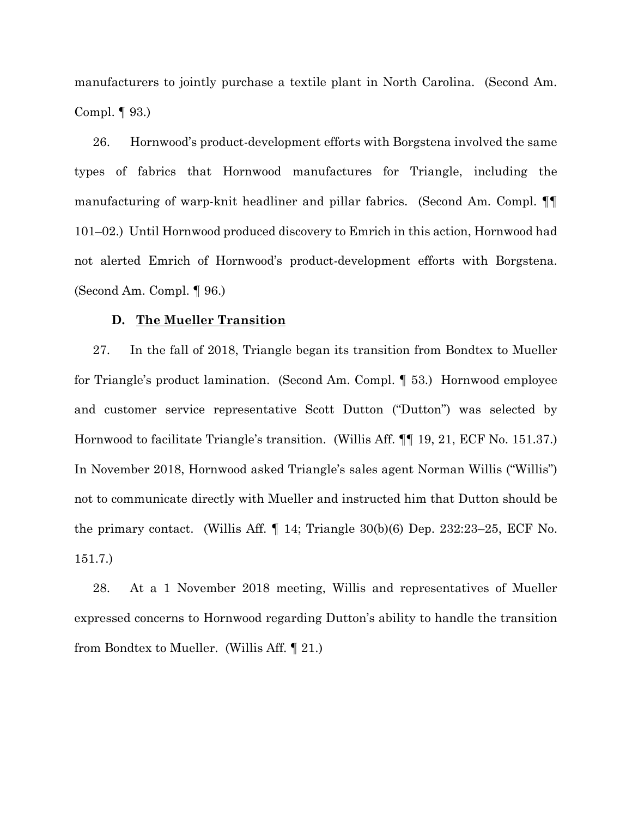manufacturers to jointly purchase a textile plant in North Carolina. (Second Am. Compl. ¶ 93.)

26. Hornwood's product-development efforts with Borgstena involved the same types of fabrics that Hornwood manufactures for Triangle, including the manufacturing of warp-knit headliner and pillar fabrics. (Second Am. Compl. ¶¶ 101–02.) Until Hornwood produced discovery to Emrich in this action, Hornwood had not alerted Emrich of Hornwood's product-development efforts with Borgstena. (Second Am. Compl. ¶ 96.)

### **D. The Mueller Transition**

27. In the fall of 2018, Triangle began its transition from Bondtex to Mueller for Triangle's product lamination. (Second Am. Compl. ¶ 53.) Hornwood employee and customer service representative Scott Dutton ("Dutton") was selected by Hornwood to facilitate Triangle's transition. (Willis Aff. ¶¶ 19, 21, ECF No. 151.37.) In November 2018, Hornwood asked Triangle's sales agent Norman Willis ("Willis") not to communicate directly with Mueller and instructed him that Dutton should be the primary contact. (Willis Aff.  $\parallel$  14; Triangle 30(b)(6) Dep. 232:23–25, ECF No. 151.7.)

28. At a 1 November 2018 meeting, Willis and representatives of Mueller expressed concerns to Hornwood regarding Dutton's ability to handle the transition from Bondtex to Mueller. (Willis Aff. ¶ 21.)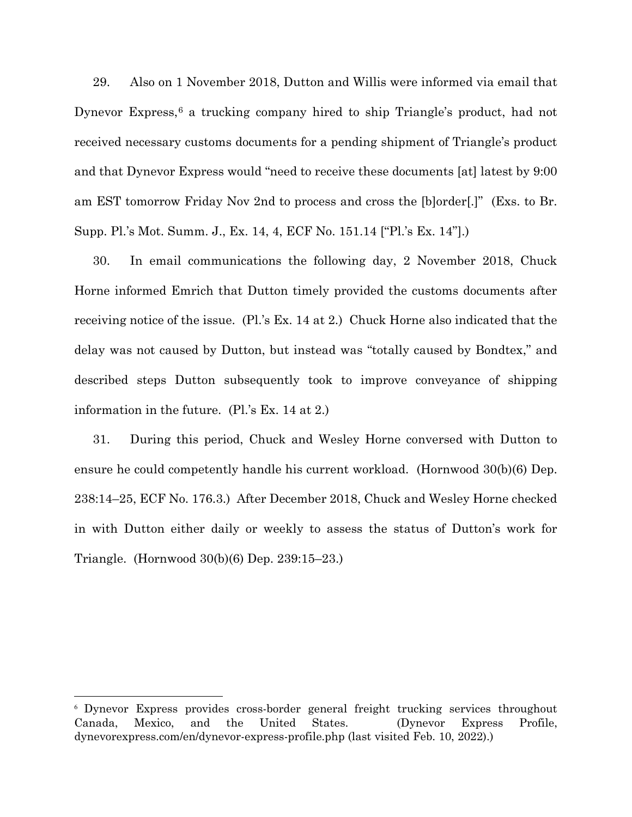29. Also on 1 November 2018, Dutton and Willis were informed via email that Dynevor Express,<sup>[6](#page-8-0)</sup> a trucking company hired to ship Triangle's product, had not received necessary customs documents for a pending shipment of Triangle's product and that Dynevor Express would "need to receive these documents [at] latest by 9:00 am EST tomorrow Friday Nov 2nd to process and cross the [b]order[.]" (Exs. to Br. Supp. Pl.'s Mot. Summ. J., Ex. 14, 4, ECF No. 151.14 ["Pl.'s Ex. 14"].)

30. In email communications the following day, 2 November 2018, Chuck Horne informed Emrich that Dutton timely provided the customs documents after receiving notice of the issue. (Pl.'s Ex. 14 at 2.) Chuck Horne also indicated that the delay was not caused by Dutton, but instead was "totally caused by Bondtex," and described steps Dutton subsequently took to improve conveyance of shipping information in the future. (Pl.'s Ex. 14 at 2.)

31. During this period, Chuck and Wesley Horne conversed with Dutton to ensure he could competently handle his current workload. (Hornwood 30(b)(6) Dep. 238:14–25, ECF No. 176.3.) After December 2018, Chuck and Wesley Horne checked in with Dutton either daily or weekly to assess the status of Dutton's work for Triangle. (Hornwood 30(b)(6) Dep. 239:15–23.)

<span id="page-8-0"></span><sup>6</sup> Dynevor Express provides cross-border general freight trucking services throughout Canada, Mexico, and the United States. (Dynevor Express Profile, dynevorexpress.com/en/dynevor-express-profile.php (last visited Feb. 10, 2022).)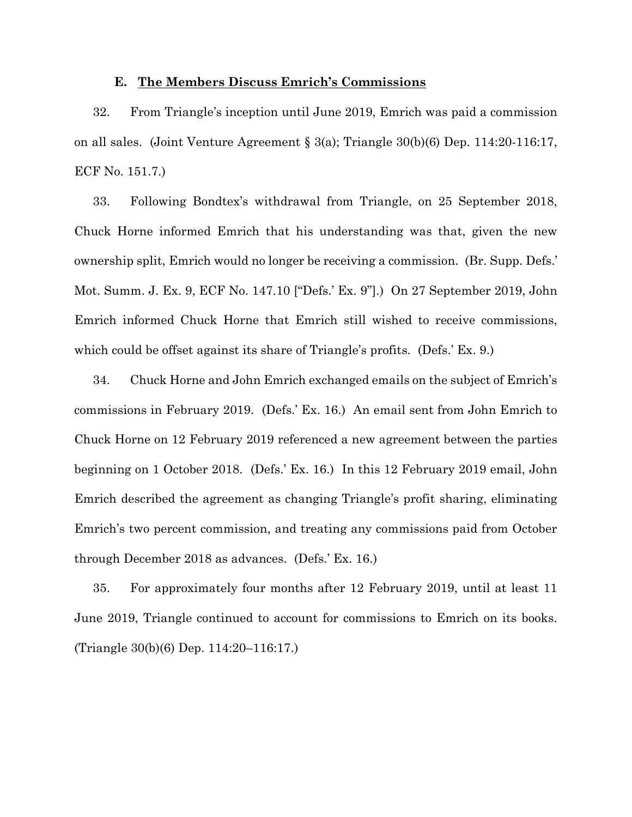## **E. The Members Discuss Emrich's Commissions**

32. From Triangle's inception until June 2019, Emrich was paid a commission on all sales. (Joint Venture Agreement § 3(a); Triangle 30(b)(6) Dep. 114:20-116:17, ECF No. 151.7.)

33. Following Bondtex's withdrawal from Triangle, on 25 September 2018, Chuck Horne informed Emrich that his understanding was that, given the new ownership split, Emrich would no longer be receiving a commission. (Br. Supp. Defs.' Mot. Summ. J. Ex. 9, ECF No. 147.10 ["Defs.' Ex. 9"].) On 27 September 2019, John Emrich informed Chuck Horne that Emrich still wished to receive commissions, which could be offset against its share of Triangle's profits. (Defs.' Ex. 9.)

34. Chuck Horne and John Emrich exchanged emails on the subject of Emrich's commissions in February 2019. (Defs.' Ex. 16.) An email sent from John Emrich to Chuck Horne on 12 February 2019 referenced a new agreement between the parties beginning on 1 October 2018. (Defs.' Ex. 16.) In this 12 February 2019 email, John Emrich described the agreement as changing Triangle's profit sharing, eliminating Emrich's two percent commission, and treating any commissions paid from October through December 2018 as advances. (Defs.' Ex. 16.)

35. For approximately four months after 12 February 2019, until at least 11 June 2019, Triangle continued to account for commissions to Emrich on its books. (Triangle 30(b)(6) Dep. 114:20–116:17.)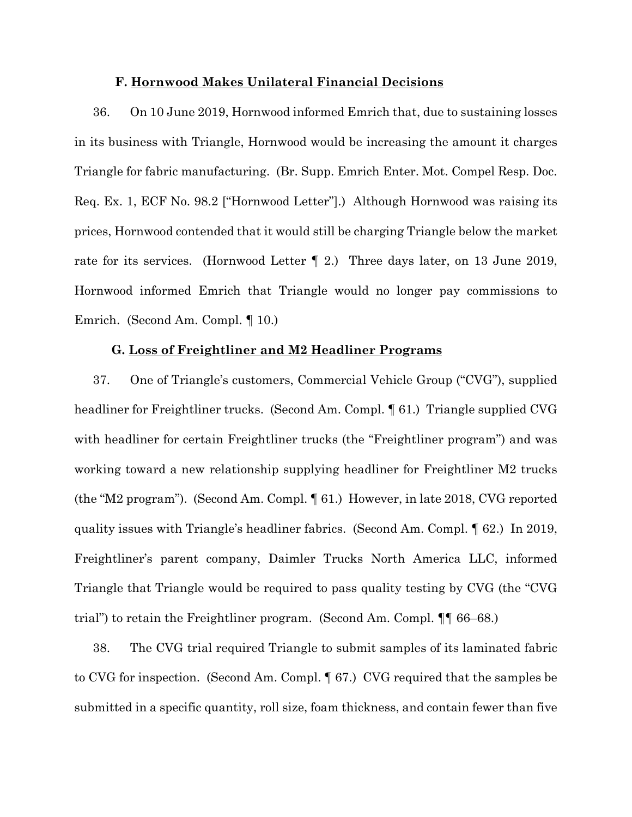### **F. Hornwood Makes Unilateral Financial Decisions**

36. On 10 June 2019, Hornwood informed Emrich that, due to sustaining losses in its business with Triangle, Hornwood would be increasing the amount it charges Triangle for fabric manufacturing. (Br. Supp. Emrich Enter. Mot. Compel Resp. Doc. Req. Ex. 1, ECF No. 98.2 ["Hornwood Letter"].) Although Hornwood was raising its prices, Hornwood contended that it would still be charging Triangle below the market rate for its services. (Hornwood Letter ¶ 2.) Three days later, on 13 June 2019, Hornwood informed Emrich that Triangle would no longer pay commissions to Emrich. (Second Am. Compl. ¶ 10.)

#### **G. Loss of Freightliner and M2 Headliner Programs**

37. One of Triangle's customers, Commercial Vehicle Group ("CVG"), supplied headliner for Freightliner trucks. (Second Am. Compl. ¶ 61.) Triangle supplied CVG with headliner for certain Freightliner trucks (the "Freightliner program") and was working toward a new relationship supplying headliner for Freightliner M2 trucks (the "M2 program"). (Second Am. Compl. ¶ 61.) However, in late 2018, CVG reported quality issues with Triangle's headliner fabrics. (Second Am. Compl. ¶ 62.) In 2019, Freightliner's parent company, Daimler Trucks North America LLC, informed Triangle that Triangle would be required to pass quality testing by CVG (the "CVG trial") to retain the Freightliner program. (Second Am. Compl. ¶¶ 66–68.)

38. The CVG trial required Triangle to submit samples of its laminated fabric to CVG for inspection. (Second Am. Compl. ¶ 67.) CVG required that the samples be submitted in a specific quantity, roll size, foam thickness, and contain fewer than five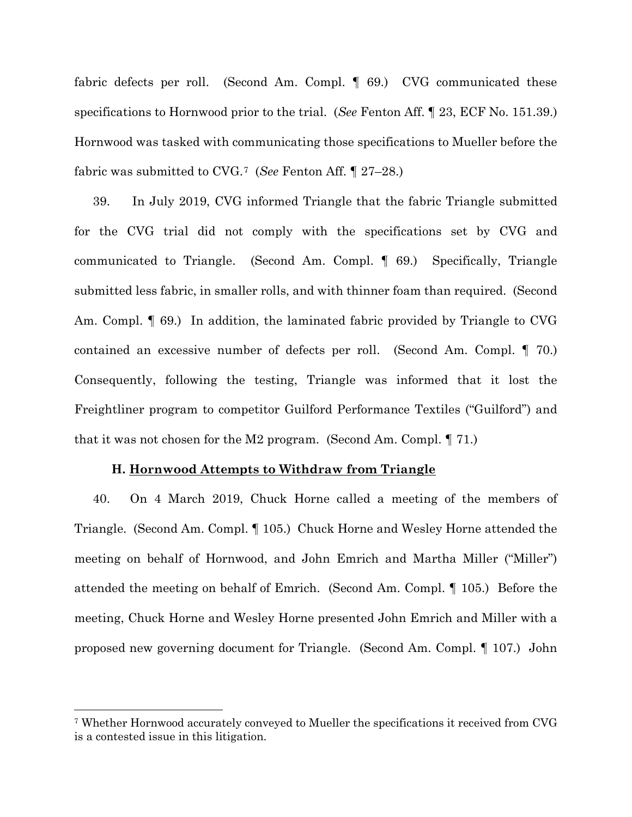fabric defects per roll. (Second Am. Compl. ¶ 69.) CVG communicated these specifications to Hornwood prior to the trial. (*See* Fenton Aff. ¶ 23, ECF No. 151.39.) Hornwood was tasked with communicating those specifications to Mueller before the fabric was submitted to CVG.[7](#page-11-0) (*See* Fenton Aff. ¶ 27–28.)

39. In July 2019, CVG informed Triangle that the fabric Triangle submitted for the CVG trial did not comply with the specifications set by CVG and communicated to Triangle. (Second Am. Compl. ¶ 69.) Specifically, Triangle submitted less fabric, in smaller rolls, and with thinner foam than required. (Second Am. Compl. ¶ 69.) In addition, the laminated fabric provided by Triangle to CVG contained an excessive number of defects per roll. (Second Am. Compl. ¶ 70.) Consequently, following the testing, Triangle was informed that it lost the Freightliner program to competitor Guilford Performance Textiles ("Guilford") and that it was not chosen for the M2 program. (Second Am. Compl. ¶ 71.)

## **H. Hornwood Attempts to Withdraw from Triangle**

40. On 4 March 2019, Chuck Horne called a meeting of the members of Triangle. (Second Am. Compl. ¶ 105.) Chuck Horne and Wesley Horne attended the meeting on behalf of Hornwood, and John Emrich and Martha Miller ("Miller") attended the meeting on behalf of Emrich. (Second Am. Compl. ¶ 105.) Before the meeting, Chuck Horne and Wesley Horne presented John Emrich and Miller with a proposed new governing document for Triangle. (Second Am. Compl. ¶ 107.) John

<span id="page-11-0"></span><sup>7</sup> Whether Hornwood accurately conveyed to Mueller the specifications it received from CVG is a contested issue in this litigation.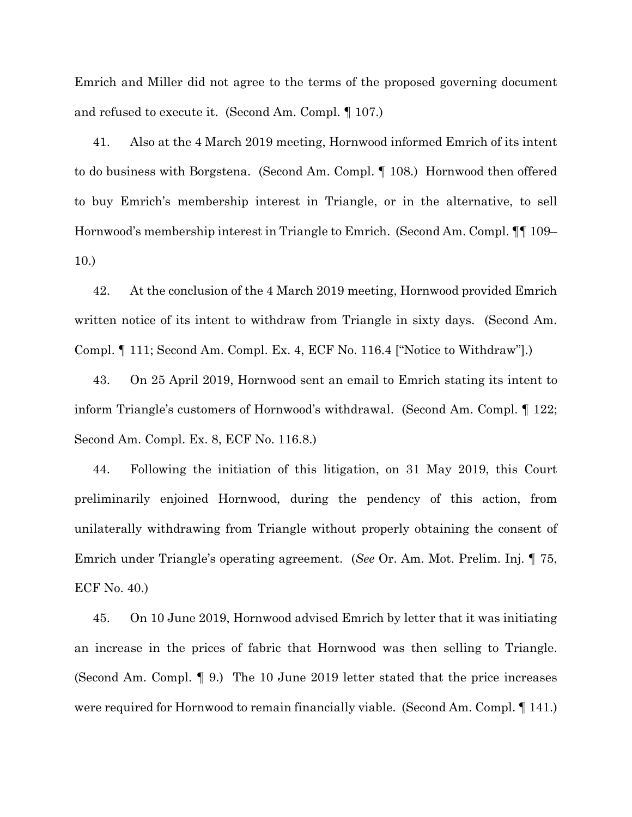Emrich and Miller did not agree to the terms of the proposed governing document and refused to execute it. (Second Am. Compl. ¶ 107.)

41. Also at the 4 March 2019 meeting, Hornwood informed Emrich of its intent to do business with Borgstena. (Second Am. Compl. ¶ 108.) Hornwood then offered to buy Emrich's membership interest in Triangle, or in the alternative, to sell Hornwood's membership interest in Triangle to Emrich. (Second Am. Compl. ¶¶ 109– 10.)

42. At the conclusion of the 4 March 2019 meeting, Hornwood provided Emrich written notice of its intent to withdraw from Triangle in sixty days. (Second Am. Compl. ¶ 111; Second Am. Compl. Ex. 4, ECF No. 116.4 ["Notice to Withdraw"].)

43. On 25 April 2019, Hornwood sent an email to Emrich stating its intent to inform Triangle's customers of Hornwood's withdrawal. (Second Am. Compl. ¶ 122; Second Am. Compl. Ex. 8, ECF No. 116.8.)

44. Following the initiation of this litigation, on 31 May 2019, this Court preliminarily enjoined Hornwood, during the pendency of this action, from unilaterally withdrawing from Triangle without properly obtaining the consent of Emrich under Triangle's operating agreement. (*See* Or. Am. Mot. Prelim. Inj. ¶ 75, ECF No. 40.)

45. On 10 June 2019, Hornwood advised Emrich by letter that it was initiating an increase in the prices of fabric that Hornwood was then selling to Triangle. (Second Am. Compl. ¶ 9.) The 10 June 2019 letter stated that the price increases were required for Hornwood to remain financially viable. (Second Am. Compl. ¶ 141.)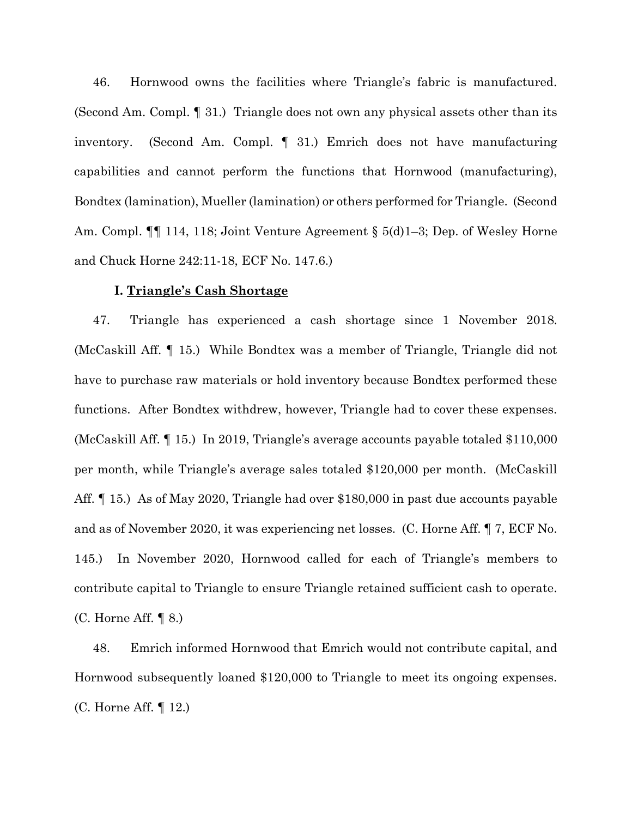46. Hornwood owns the facilities where Triangle's fabric is manufactured. (Second Am. Compl. ¶ 31.) Triangle does not own any physical assets other than its inventory. (Second Am. Compl. ¶ 31.) Emrich does not have manufacturing capabilities and cannot perform the functions that Hornwood (manufacturing), Bondtex (lamination), Mueller (lamination) or others performed for Triangle. (Second Am. Compl. ¶¶ 114, 118; Joint Venture Agreement § 5(d)1–3; Dep. of Wesley Horne and Chuck Horne 242:11-18, ECF No. 147.6.)

## **I. Triangle's Cash Shortage**

47. Triangle has experienced a cash shortage since 1 November 2018. (McCaskill Aff. ¶ 15.) While Bondtex was a member of Triangle, Triangle did not have to purchase raw materials or hold inventory because Bondtex performed these functions. After Bondtex withdrew, however, Triangle had to cover these expenses. (McCaskill Aff. ¶ 15.) In 2019, Triangle's average accounts payable totaled \$110,000 per month, while Triangle's average sales totaled \$120,000 per month. (McCaskill Aff. <sup>1</sup> 15.) As of May 2020, Triangle had over \$180,000 in past due accounts payable and as of November 2020, it was experiencing net losses. (C. Horne Aff. ¶ 7, ECF No. 145.) In November 2020, Hornwood called for each of Triangle's members to contribute capital to Triangle to ensure Triangle retained sufficient cash to operate. (C. Horne Aff. ¶ 8.)

48. Emrich informed Hornwood that Emrich would not contribute capital, and Hornwood subsequently loaned \$120,000 to Triangle to meet its ongoing expenses. (C. Horne Aff. ¶ 12.)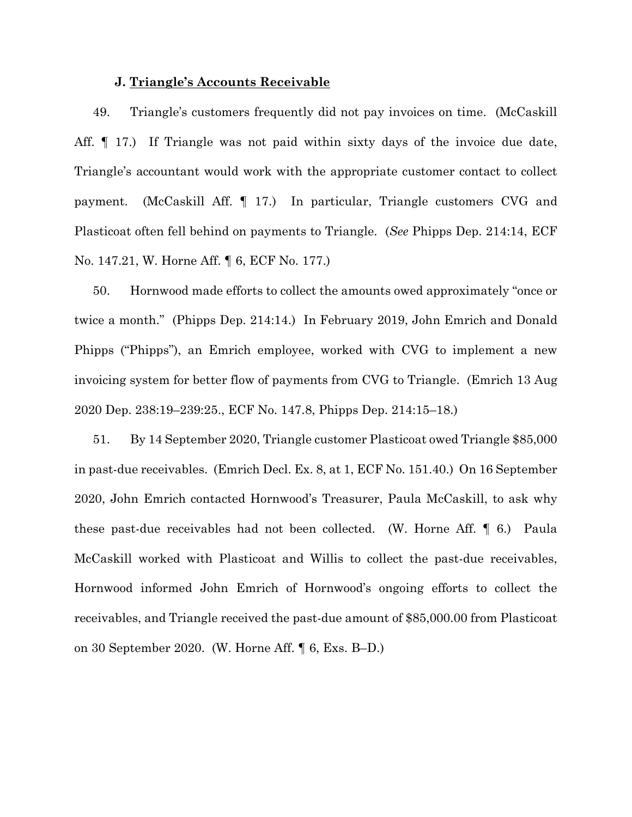## **J. Triangle's Accounts Receivable**

49. Triangle's customers frequently did not pay invoices on time. (McCaskill Aff. ¶ 17.) If Triangle was not paid within sixty days of the invoice due date, Triangle's accountant would work with the appropriate customer contact to collect payment. (McCaskill Aff. ¶ 17.) In particular, Triangle customers CVG and Plasticoat often fell behind on payments to Triangle. (*See* Phipps Dep. 214:14, ECF No. 147.21, W. Horne Aff. ¶ 6, ECF No. 177.)

50. Hornwood made efforts to collect the amounts owed approximately "once or twice a month." (Phipps Dep. 214:14.) In February 2019, John Emrich and Donald Phipps ("Phipps"), an Emrich employee, worked with CVG to implement a new invoicing system for better flow of payments from CVG to Triangle. (Emrich 13 Aug 2020 Dep. 238:19–239:25., ECF No. 147.8, Phipps Dep. 214:15–18.)

51. By 14 September 2020, Triangle customer Plasticoat owed Triangle \$85,000 in past-due receivables. (Emrich Decl. Ex. 8, at 1, ECF No. 151.40.) On 16 September 2020, John Emrich contacted Hornwood's Treasurer, Paula McCaskill, to ask why these past-due receivables had not been collected. (W. Horne Aff. ¶ 6.) Paula McCaskill worked with Plasticoat and Willis to collect the past-due receivables, Hornwood informed John Emrich of Hornwood's ongoing efforts to collect the receivables, and Triangle received the past-due amount of \$85,000.00 from Plasticoat on 30 September 2020. (W. Horne Aff. ¶ 6, Exs. B–D.)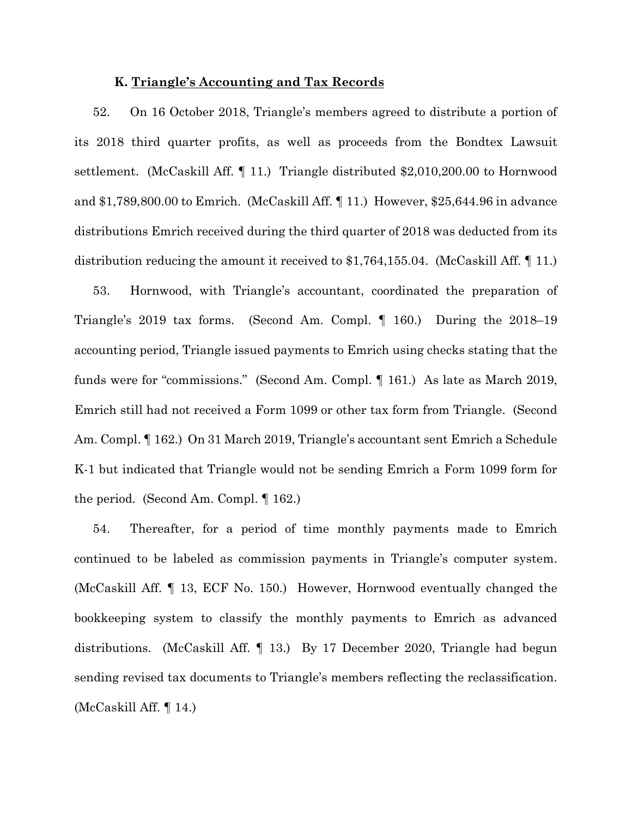## **K. Triangle's Accounting and Tax Records**

52. On 16 October 2018, Triangle's members agreed to distribute a portion of its 2018 third quarter profits, as well as proceeds from the Bondtex Lawsuit settlement. (McCaskill Aff. ¶ 11.) Triangle distributed \$2,010,200.00 to Hornwood and \$1,789,800.00 to Emrich. (McCaskill Aff. ¶ 11.) However, \$25,644.96 in advance distributions Emrich received during the third quarter of 2018 was deducted from its distribution reducing the amount it received to \$1,764,155.04. (McCaskill Aff. ¶ 11.)

53. Hornwood, with Triangle's accountant, coordinated the preparation of Triangle's 2019 tax forms. (Second Am. Compl. ¶ 160.) During the 2018–19 accounting period, Triangle issued payments to Emrich using checks stating that the funds were for "commissions." (Second Am. Compl. ¶ 161.) As late as March 2019, Emrich still had not received a Form 1099 or other tax form from Triangle. (Second Am. Compl. ¶ 162.) On 31 March 2019, Triangle's accountant sent Emrich a Schedule K-1 but indicated that Triangle would not be sending Emrich a Form 1099 form for the period. (Second Am. Compl. ¶ 162.)

54. Thereafter, for a period of time monthly payments made to Emrich continued to be labeled as commission payments in Triangle's computer system. (McCaskill Aff. ¶ 13, ECF No. 150.) However, Hornwood eventually changed the bookkeeping system to classify the monthly payments to Emrich as advanced distributions. (McCaskill Aff. ¶ 13.) By 17 December 2020, Triangle had begun sending revised tax documents to Triangle's members reflecting the reclassification. (McCaskill Aff. ¶ 14.)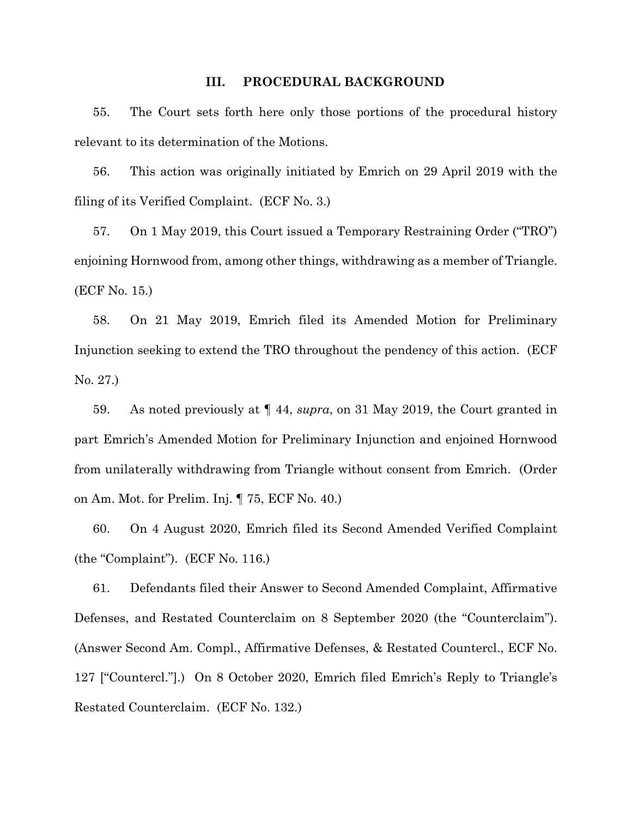### **III. PROCEDURAL BACKGROUND**

55. The Court sets forth here only those portions of the procedural history relevant to its determination of the Motions.

56. This action was originally initiated by Emrich on 29 April 2019 with the filing of its Verified Complaint. (ECF No. 3.)

57. On 1 May 2019, this Court issued a Temporary Restraining Order ("TRO") enjoining Hornwood from, among other things, withdrawing as a member of Triangle. (ECF No. 15.)

58. On 21 May 2019, Emrich filed its Amended Motion for Preliminary Injunction seeking to extend the TRO throughout the pendency of this action. (ECF No. 27.)

59. As noted previously at ¶ 44, *supra*, on 31 May 2019, the Court granted in part Emrich's Amended Motion for Preliminary Injunction and enjoined Hornwood from unilaterally withdrawing from Triangle without consent from Emrich. (Order on Am. Mot. for Prelim. Inj. ¶ 75, ECF No. 40.)

60. On 4 August 2020, Emrich filed its Second Amended Verified Complaint (the "Complaint"). (ECF No. 116.)

61. Defendants filed their Answer to Second Amended Complaint, Affirmative Defenses, and Restated Counterclaim on 8 September 2020 (the "Counterclaim"). (Answer Second Am. Compl., Affirmative Defenses, & Restated Countercl., ECF No. 127 ["Countercl."].) On 8 October 2020, Emrich filed Emrich's Reply to Triangle's Restated Counterclaim. (ECF No. 132.)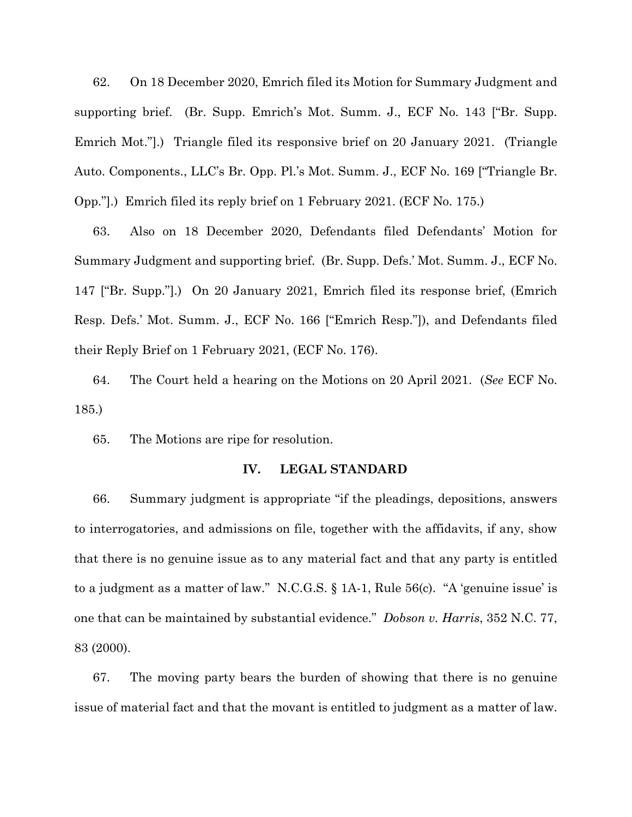62. On 18 December 2020, Emrich filed its Motion for Summary Judgment and supporting brief. (Br. Supp. Emrich's Mot. Summ. J., ECF No. 143 ["Br. Supp. Emrich Mot."].) Triangle filed its responsive brief on 20 January 2021. (Triangle Auto. Components., LLC's Br. Opp. Pl.'s Mot. Summ. J., ECF No. 169 ["Triangle Br. Opp."].) Emrich filed its reply brief on 1 February 2021. (ECF No. 175.)

63. Also on 18 December 2020, Defendants filed Defendants' Motion for Summary Judgment and supporting brief. (Br. Supp. Defs.' Mot. Summ. J., ECF No. 147 ["Br. Supp."].) On 20 January 2021, Emrich filed its response brief, (Emrich Resp. Defs.' Mot. Summ. J., ECF No. 166 ["Emrich Resp."]), and Defendants filed their Reply Brief on 1 February 2021, (ECF No. 176).

64. The Court held a hearing on the Motions on 20 April 2021. (*See* ECF No. 185.)

65. The Motions are ripe for resolution.

## **IV. LEGAL STANDARD**

66. Summary judgment is appropriate "if the pleadings, depositions, answers to interrogatories, and admissions on file, together with the affidavits, if any, show that there is no genuine issue as to any material fact and that any party is entitled to a judgment as a matter of law." N.C.G.S. § 1A-1, Rule 56(c). "A 'genuine issue' is one that can be maintained by substantial evidence." *Dobson v. Harris*, 352 N.C. 77, 83 (2000).

67. The moving party bears the burden of showing that there is no genuine issue of material fact and that the movant is entitled to judgment as a matter of law.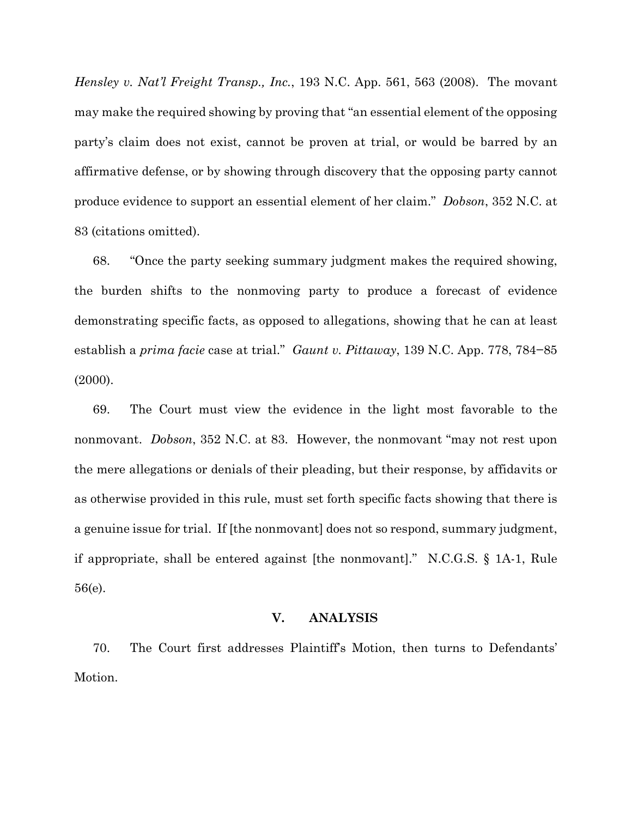*Hensley v. Nat'l Freight Transp., Inc.*, 193 N.C. App. 561, 563 (2008). The movant may make the required showing by proving that "an essential element of the opposing party's claim does not exist, cannot be proven at trial, or would be barred by an affirmative defense, or by showing through discovery that the opposing party cannot produce evidence to support an essential element of her claim." *Dobson*, 352 N.C. at 83 (citations omitted).

68. "Once the party seeking summary judgment makes the required showing, the burden shifts to the nonmoving party to produce a forecast of evidence demonstrating specific facts, as opposed to allegations, showing that he can at least establish a *prima facie* case at trial." *Gaunt v. Pittaway*, 139 N.C. App. 778, 784−85 (2000).

69. The Court must view the evidence in the light most favorable to the nonmovant. *Dobson*, 352 N.C. at 83. However, the nonmovant "may not rest upon the mere allegations or denials of their pleading, but their response, by affidavits or as otherwise provided in this rule, must set forth specific facts showing that there is a genuine issue for trial. If [the nonmovant] does not so respond, summary judgment, if appropriate, shall be entered against [the nonmovant]." N.C.G.S. § 1A-1, Rule 56(e).

# **V. ANALYSIS**

70. The Court first addresses Plaintiff's Motion, then turns to Defendants' Motion.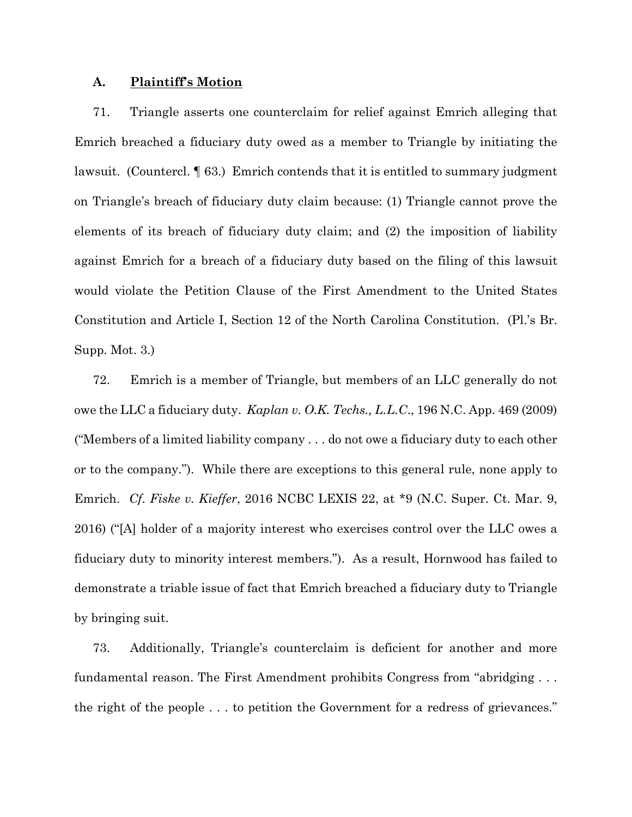## **A. Plaintiff's Motion**

71. Triangle asserts one counterclaim for relief against Emrich alleging that Emrich breached a fiduciary duty owed as a member to Triangle by initiating the lawsuit. (Countercl. ¶ 63.) Emrich contends that it is entitled to summary judgment on Triangle's breach of fiduciary duty claim because: (1) Triangle cannot prove the elements of its breach of fiduciary duty claim; and (2) the imposition of liability against Emrich for a breach of a fiduciary duty based on the filing of this lawsuit would violate the Petition Clause of the First Amendment to the United States Constitution and Article I, Section 12 of the North Carolina Constitution. (Pl.'s Br. Supp. Mot. 3.)

72. Emrich is a member of Triangle, but members of an LLC generally do not owe the LLC a fiduciary duty. *Kaplan v. O.K. Techs., L.L.C*., 196 N.C. App. 469 (2009) ("Members of a limited liability company . . . do not owe a fiduciary duty to each other or to the company."). While there are exceptions to this general rule, none apply to Emrich. *Cf*. *Fiske v. Kieffer*, 2016 NCBC LEXIS 22, at \*9 (N.C. Super. Ct. Mar. 9, 2016) ("[A] holder of a majority interest who exercises control over the LLC owes a fiduciary duty to minority interest members."). As a result, Hornwood has failed to demonstrate a triable issue of fact that Emrich breached a fiduciary duty to Triangle by bringing suit.

73. Additionally, Triangle's counterclaim is deficient for another and more fundamental reason. The First Amendment prohibits Congress from "abridging . . . the right of the people . . . to petition the Government for a redress of grievances."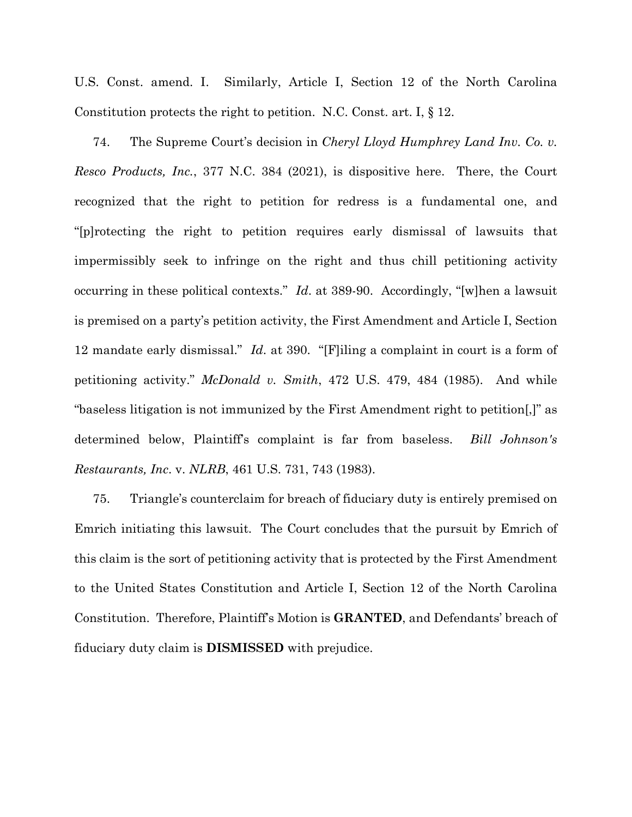U.S. Const. amend. I. Similarly, Article I, Section 12 of the North Carolina Constitution protects the right to petition. N.C. Const. art. I, § 12.

74. The Supreme Court's decision in *Cheryl Lloyd Humphrey Land Inv. Co. v. Resco Products, Inc.*, 377 N.C. 384 (2021), is dispositive here. There, the Court recognized that the right to petition for redress is a fundamental one, and "[p]rotecting the right to petition requires early dismissal of lawsuits that impermissibly seek to infringe on the right and thus chill petitioning activity occurring in these political contexts." *Id*. at 389-90. Accordingly, "[w]hen a lawsuit is premised on a party's petition activity, the First Amendment and Article I, Section 12 mandate early dismissal." *Id*. at 390. "[F]iling a complaint in court is a form of petitioning activity." *McDonald v. Smith*, 472 U.S. 479, 484 (1985). And while "baseless litigation is not immunized by the First Amendment right to petition[,]" as determined below, Plaintiff's complaint is far from baseless. *Bill Johnson's Restaurants, Inc*. v. *NLRB*, 461 U.S. 731, 743 (1983).

75. Triangle's counterclaim for breach of fiduciary duty is entirely premised on Emrich initiating this lawsuit. The Court concludes that the pursuit by Emrich of this claim is the sort of petitioning activity that is protected by the First Amendment to the United States Constitution and Article I, Section 12 of the North Carolina Constitution. Therefore, Plaintiff's Motion is **GRANTED**, and Defendants' breach of fiduciary duty claim is **DISMISSED** with prejudice.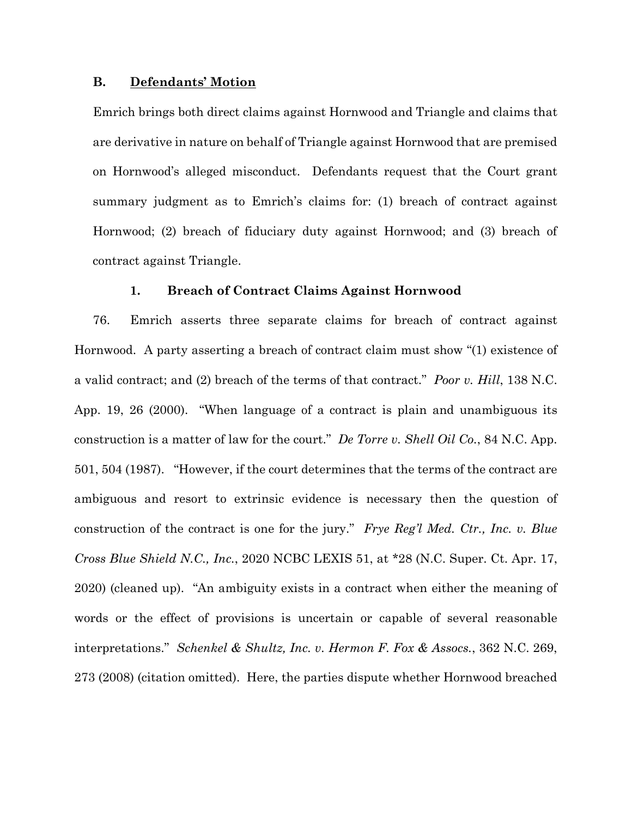## **B. Defendants' Motion**

Emrich brings both direct claims against Hornwood and Triangle and claims that are derivative in nature on behalf of Triangle against Hornwood that are premised on Hornwood's alleged misconduct. Defendants request that the Court grant summary judgment as to Emrich's claims for: (1) breach of contract against Hornwood; (2) breach of fiduciary duty against Hornwood; and (3) breach of contract against Triangle.

### **1. Breach of Contract Claims Against Hornwood**

76. Emrich asserts three separate claims for breach of contract against Hornwood. A party asserting a breach of contract claim must show "(1) existence of a valid contract; and (2) breach of the terms of that contract." *Poor v. Hill*, 138 N.C. App. 19, 26 (2000). "When language of a contract is plain and unambiguous its construction is a matter of law for the court." *De Torre v. Shell Oil Co.*, 84 N.C. App. 501, 504 (1987). "However, if the court determines that the terms of the contract are ambiguous and resort to extrinsic evidence is necessary then the question of construction of the contract is one for the jury." *Frye Reg'l Med. Ctr., Inc. v. Blue Cross Blue Shield N.C., Inc.*, 2020 NCBC LEXIS 51, at \*28 (N.C. Super. Ct. Apr. 17, 2020) (cleaned up). "An ambiguity exists in a contract when either the meaning of words or the effect of provisions is uncertain or capable of several reasonable interpretations." *Schenkel & Shultz, Inc. v. Hermon F. Fox & Assocs.*, 362 N.C. 269, 273 (2008) (citation omitted). Here, the parties dispute whether Hornwood breached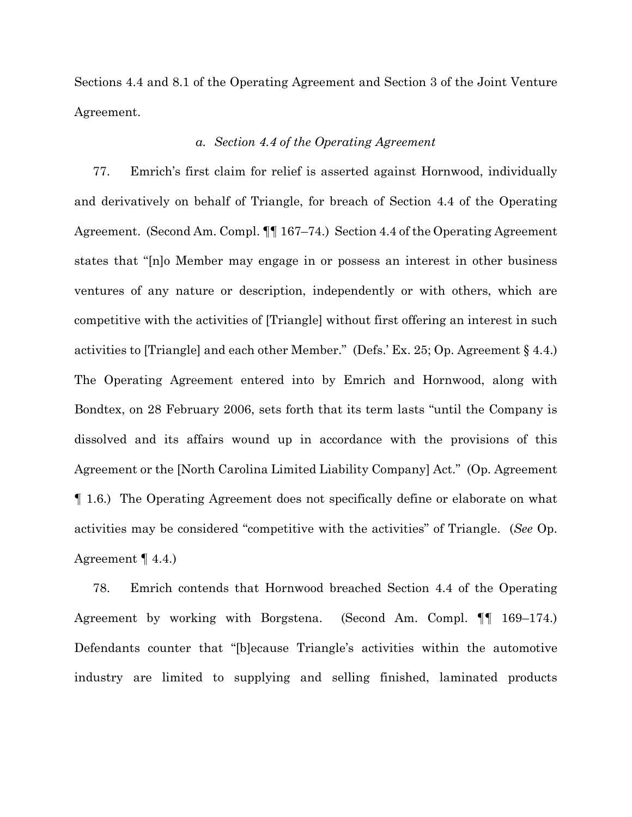Sections 4.4 and 8.1 of the Operating Agreement and Section 3 of the Joint Venture Agreement.

# *a. Section 4.4 of the Operating Agreement*

77. Emrich's first claim for relief is asserted against Hornwood, individually and derivatively on behalf of Triangle, for breach of Section 4.4 of the Operating Agreement. (Second Am. Compl. ¶¶ 167–74.) Section 4.4 of the Operating Agreement states that "[n]o Member may engage in or possess an interest in other business ventures of any nature or description, independently or with others, which are competitive with the activities of [Triangle] without first offering an interest in such activities to [Triangle] and each other Member." (Defs.' Ex. 25; Op. Agreement § 4.4.) The Operating Agreement entered into by Emrich and Hornwood, along with Bondtex, on 28 February 2006, sets forth that its term lasts "until the Company is dissolved and its affairs wound up in accordance with the provisions of this Agreement or the [North Carolina Limited Liability Company] Act." (Op. Agreement ¶ 1.6.) The Operating Agreement does not specifically define or elaborate on what activities may be considered "competitive with the activities" of Triangle. (*See* Op. Agreement ¶ 4.4.)

78. Emrich contends that Hornwood breached Section 4.4 of the Operating Agreement by working with Borgstena. (Second Am. Compl. ¶¶ 169–174.) Defendants counter that "[b]ecause Triangle's activities within the automotive industry are limited to supplying and selling finished, laminated products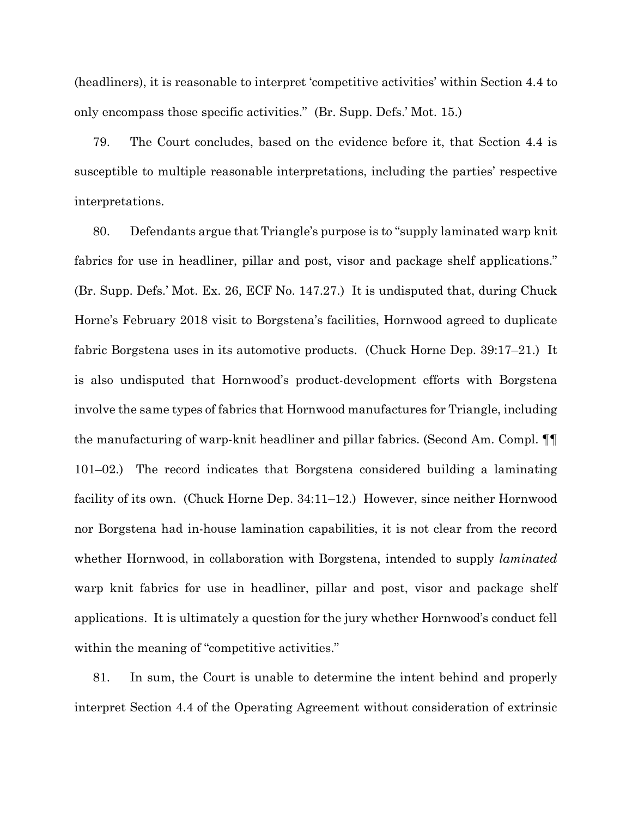(headliners), it is reasonable to interpret 'competitive activities' within Section 4.4 to only encompass those specific activities." (Br. Supp. Defs.' Mot. 15.)

79. The Court concludes, based on the evidence before it, that Section 4.4 is susceptible to multiple reasonable interpretations, including the parties' respective interpretations.

80. Defendants argue that Triangle's purpose is to "supply laminated warp knit fabrics for use in headliner, pillar and post, visor and package shelf applications." (Br. Supp. Defs.' Mot. Ex. 26, ECF No. 147.27.) It is undisputed that, during Chuck Horne's February 2018 visit to Borgstena's facilities, Hornwood agreed to duplicate fabric Borgstena uses in its automotive products. (Chuck Horne Dep. 39:17–21.) It is also undisputed that Hornwood's product-development efforts with Borgstena involve the same types of fabrics that Hornwood manufactures for Triangle, including the manufacturing of warp-knit headliner and pillar fabrics. (Second Am. Compl. ¶¶ 101–02.) The record indicates that Borgstena considered building a laminating facility of its own. (Chuck Horne Dep. 34:11–12.) However, since neither Hornwood nor Borgstena had in-house lamination capabilities, it is not clear from the record whether Hornwood, in collaboration with Borgstena, intended to supply *laminated* warp knit fabrics for use in headliner, pillar and post, visor and package shelf applications. It is ultimately a question for the jury whether Hornwood's conduct fell within the meaning of "competitive activities."

81. In sum, the Court is unable to determine the intent behind and properly interpret Section 4.4 of the Operating Agreement without consideration of extrinsic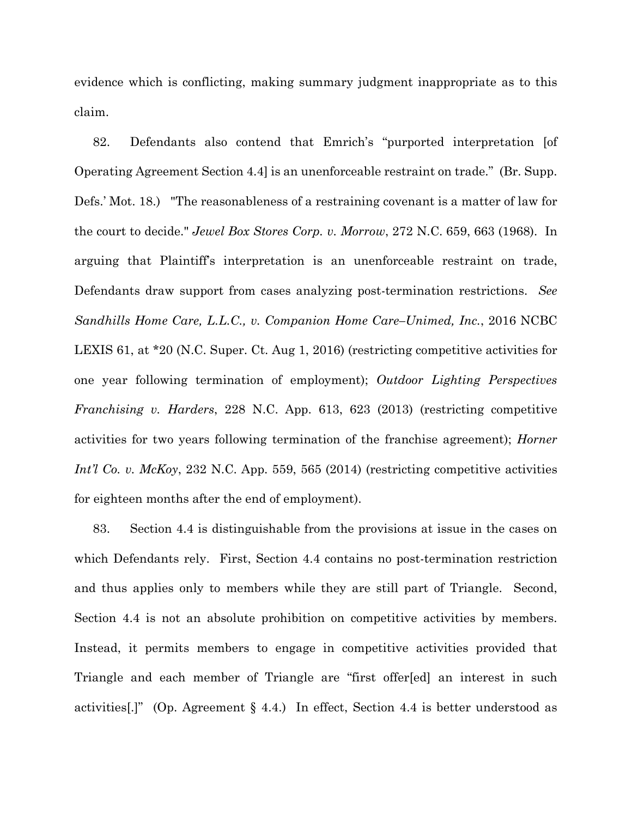evidence which is conflicting, making summary judgment inappropriate as to this claim.

82. Defendants also contend that Emrich's "purported interpretation [of Operating Agreement Section 4.4] is an unenforceable restraint on trade." (Br. Supp. Defs.' Mot. 18.) "The reasonableness of a restraining covenant is a matter of law for the court to decide." *Jewel Box Stores Corp. v. Morrow*, 272 N.C. 659, 663 (1968). In arguing that Plaintiff's interpretation is an unenforceable restraint on trade, Defendants draw support from cases analyzing post-termination restrictions. *See Sandhills Home Care, L.L.C., v. Companion Home Care–Unimed, Inc.*, 2016 NCBC LEXIS 61, at \*20 (N.C. Super. Ct. Aug 1, 2016) (restricting competitive activities for one year following termination of employment); *Outdoor Lighting Perspectives Franchising v. Harders*, 228 N.C. App. 613, 623 (2013) (restricting competitive activities for two years following termination of the franchise agreement); *Horner Int'l Co. v. McKoy,* 232 N.C. App. 559, 565 (2014) (restricting competitive activities for eighteen months after the end of employment).

83. Section 4.4 is distinguishable from the provisions at issue in the cases on which Defendants rely. First, Section 4.4 contains no post-termination restriction and thus applies only to members while they are still part of Triangle. Second, Section 4.4 is not an absolute prohibition on competitive activities by members. Instead, it permits members to engage in competitive activities provided that Triangle and each member of Triangle are "first offer[ed] an interest in such activities[.]" (Op. Agreement § 4.4.) In effect, Section 4.4 is better understood as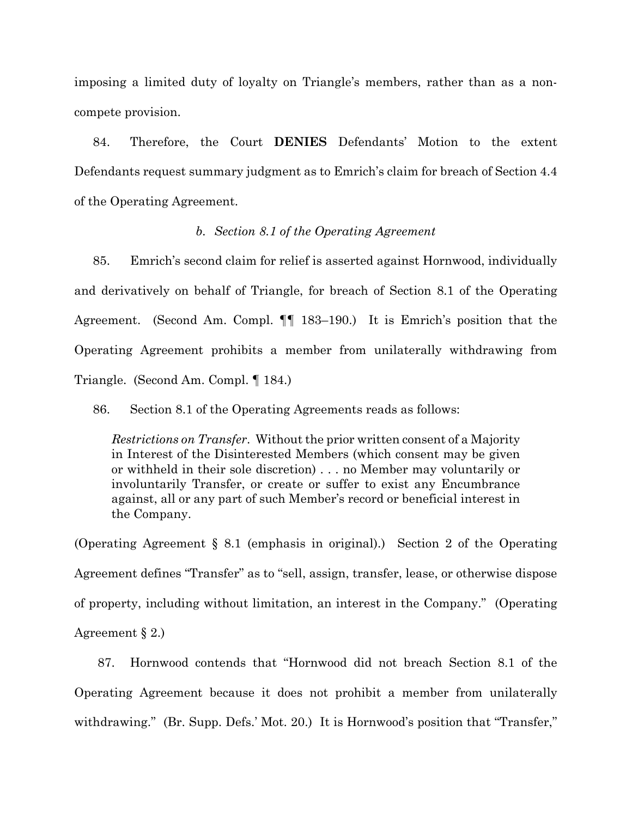imposing a limited duty of loyalty on Triangle's members, rather than as a noncompete provision.

84. Therefore, the Court **DENIES** Defendants' Motion to the extent Defendants request summary judgment as to Emrich's claim for breach of Section 4.4 of the Operating Agreement.

## *b. Section 8.1 of the Operating Agreement*

85. Emrich's second claim for relief is asserted against Hornwood, individually and derivatively on behalf of Triangle, for breach of Section 8.1 of the Operating Agreement. (Second Am. Compl. ¶¶ 183–190.) It is Emrich's position that the Operating Agreement prohibits a member from unilaterally withdrawing from Triangle. (Second Am. Compl. ¶ 184.)

86. Section 8.1 of the Operating Agreements reads as follows:

*Restrictions on Transfer*. Without the prior written consent of a Majority in Interest of the Disinterested Members (which consent may be given or withheld in their sole discretion) . . . no Member may voluntarily or involuntarily Transfer, or create or suffer to exist any Encumbrance against, all or any part of such Member's record or beneficial interest in the Company.

(Operating Agreement § 8.1 (emphasis in original).) Section 2 of the Operating Agreement defines "Transfer" as to "sell, assign, transfer, lease, or otherwise dispose of property, including without limitation, an interest in the Company." (Operating Agreement § 2.)

87. Hornwood contends that "Hornwood did not breach Section 8.1 of the Operating Agreement because it does not prohibit a member from unilaterally withdrawing." (Br. Supp. Defs.' Mot. 20.) It is Hornwood's position that "Transfer,"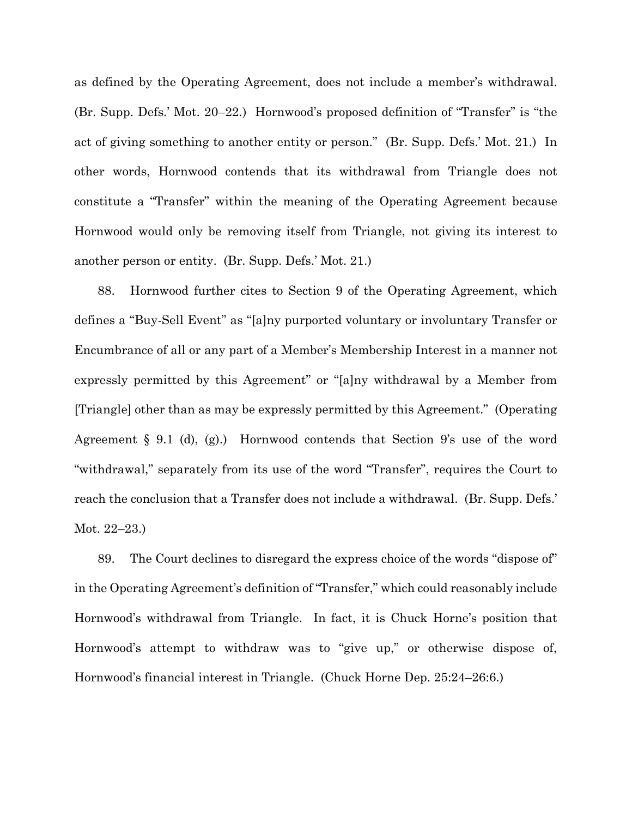as defined by the Operating Agreement, does not include a member's withdrawal. (Br. Supp. Defs.' Mot. 20–22.) Hornwood's proposed definition of "Transfer" is "the act of giving something to another entity or person." (Br. Supp. Defs.' Mot. 21.) In other words, Hornwood contends that its withdrawal from Triangle does not constitute a "Transfer" within the meaning of the Operating Agreement because Hornwood would only be removing itself from Triangle, not giving its interest to another person or entity. (Br. Supp. Defs.' Mot. 21.)

88. Hornwood further cites to Section 9 of the Operating Agreement, which defines a "Buy-Sell Event" as "[a]ny purported voluntary or involuntary Transfer or Encumbrance of all or any part of a Member's Membership Interest in a manner not expressly permitted by this Agreement" or "[a]ny withdrawal by a Member from [Triangle] other than as may be expressly permitted by this Agreement." (Operating Agreement § 9.1 (d), (g).) Hornwood contends that Section 9's use of the word "withdrawal," separately from its use of the word "Transfer", requires the Court to reach the conclusion that a Transfer does not include a withdrawal. (Br. Supp. Defs.' Mot. 22–23.)

89. The Court declines to disregard the express choice of the words "dispose of" in the Operating Agreement's definition of "Transfer," which could reasonably include Hornwood's withdrawal from Triangle. In fact, it is Chuck Horne's position that Hornwood's attempt to withdraw was to "give up," or otherwise dispose of, Hornwood's financial interest in Triangle. (Chuck Horne Dep. 25:24–26:6.)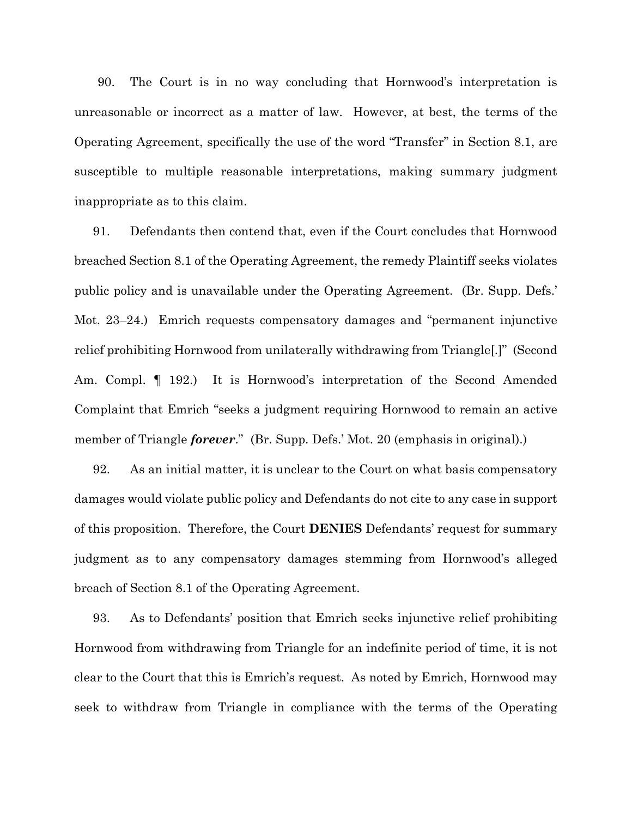90. The Court is in no way concluding that Hornwood's interpretation is unreasonable or incorrect as a matter of law. However, at best, the terms of the Operating Agreement, specifically the use of the word "Transfer" in Section 8.1, are susceptible to multiple reasonable interpretations, making summary judgment inappropriate as to this claim.

91. Defendants then contend that, even if the Court concludes that Hornwood breached Section 8.1 of the Operating Agreement, the remedy Plaintiff seeks violates public policy and is unavailable under the Operating Agreement. (Br. Supp. Defs.' Mot. 23–24.) Emrich requests compensatory damages and "permanent injunctive relief prohibiting Hornwood from unilaterally withdrawing from Triangle[.]" (Second Am. Compl. ¶ 192.) It is Hornwood's interpretation of the Second Amended Complaint that Emrich "seeks a judgment requiring Hornwood to remain an active member of Triangle *forever*." (Br. Supp. Defs.' Mot. 20 (emphasis in original).)

92. As an initial matter, it is unclear to the Court on what basis compensatory damages would violate public policy and Defendants do not cite to any case in support of this proposition. Therefore, the Court **DENIES** Defendants' request for summary judgment as to any compensatory damages stemming from Hornwood's alleged breach of Section 8.1 of the Operating Agreement.

93. As to Defendants' position that Emrich seeks injunctive relief prohibiting Hornwood from withdrawing from Triangle for an indefinite period of time, it is not clear to the Court that this is Emrich's request. As noted by Emrich, Hornwood may seek to withdraw from Triangle in compliance with the terms of the Operating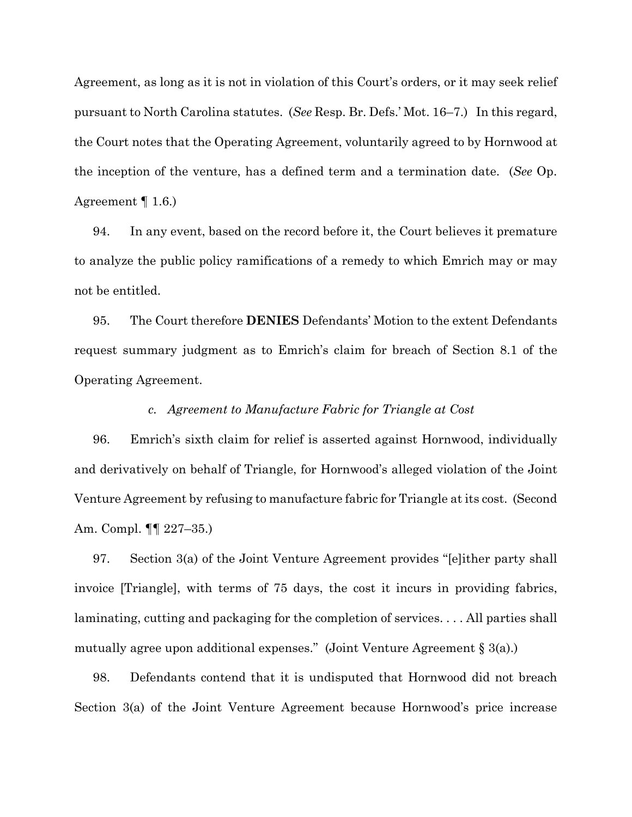Agreement, as long as it is not in violation of this Court's orders, or it may seek relief pursuant to North Carolina statutes. (*See* Resp. Br. Defs.' Mot. 16–7.) In this regard, the Court notes that the Operating Agreement, voluntarily agreed to by Hornwood at the inception of the venture, has a defined term and a termination date. (*See* Op. Agreement ¶ 1.6.)

94. In any event, based on the record before it, the Court believes it premature to analyze the public policy ramifications of a remedy to which Emrich may or may not be entitled.

95. The Court therefore **DENIES** Defendants' Motion to the extent Defendants request summary judgment as to Emrich's claim for breach of Section 8.1 of the Operating Agreement.

### *c. Agreement to Manufacture Fabric for Triangle at Cost*

96. Emrich's sixth claim for relief is asserted against Hornwood, individually and derivatively on behalf of Triangle, for Hornwood's alleged violation of the Joint Venture Agreement by refusing to manufacture fabric for Triangle at its cost. (Second Am. Compl. ¶¶ 227–35.)

97. Section 3(a) of the Joint Venture Agreement provides "[e]ither party shall invoice [Triangle], with terms of 75 days, the cost it incurs in providing fabrics, laminating, cutting and packaging for the completion of services. . . . All parties shall mutually agree upon additional expenses." (Joint Venture Agreement  $\S 3(a)$ .)

98. Defendants contend that it is undisputed that Hornwood did not breach Section 3(a) of the Joint Venture Agreement because Hornwood's price increase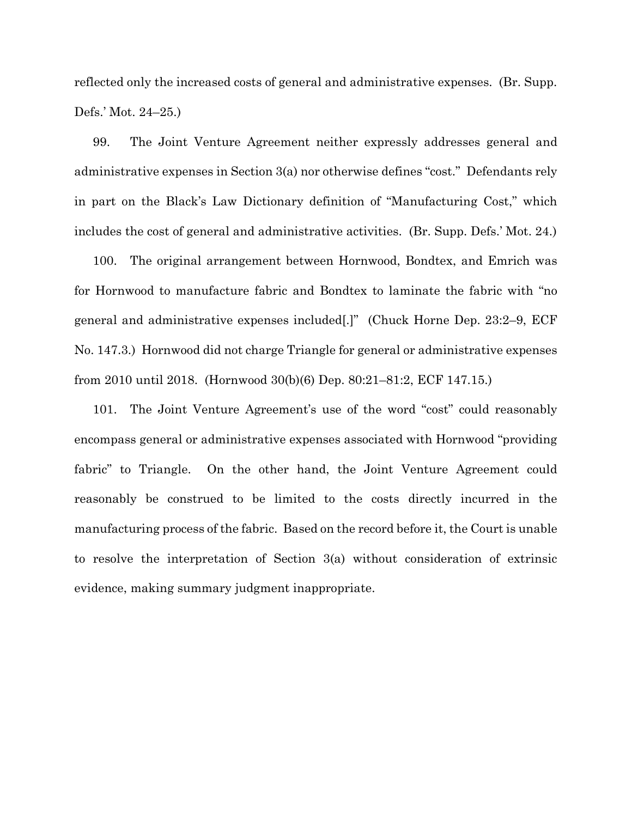reflected only the increased costs of general and administrative expenses. (Br. Supp. Defs.' Mot. 24–25.)

99. The Joint Venture Agreement neither expressly addresses general and administrative expenses in Section 3(a) nor otherwise defines "cost." Defendants rely in part on the Black's Law Dictionary definition of "Manufacturing Cost," which includes the cost of general and administrative activities. (Br. Supp. Defs.' Mot. 24.)

100. The original arrangement between Hornwood, Bondtex, and Emrich was for Hornwood to manufacture fabric and Bondtex to laminate the fabric with "no general and administrative expenses included[.]" (Chuck Horne Dep. 23:2–9, ECF No. 147.3.) Hornwood did not charge Triangle for general or administrative expenses from 2010 until 2018. (Hornwood 30(b)(6) Dep. 80:21–81:2, ECF 147.15.)

101. The Joint Venture Agreement's use of the word "cost" could reasonably encompass general or administrative expenses associated with Hornwood "providing fabric" to Triangle. On the other hand, the Joint Venture Agreement could reasonably be construed to be limited to the costs directly incurred in the manufacturing process of the fabric. Based on the record before it, the Court is unable to resolve the interpretation of Section 3(a) without consideration of extrinsic evidence, making summary judgment inappropriate.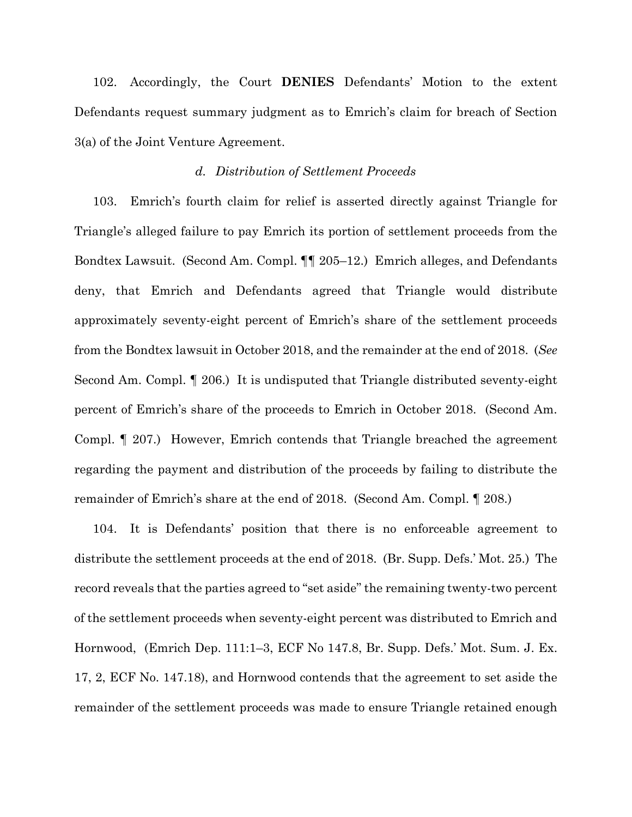102. Accordingly, the Court **DENIES** Defendants' Motion to the extent Defendants request summary judgment as to Emrich's claim for breach of Section 3(a) of the Joint Venture Agreement.

# *d. Distribution of Settlement Proceeds*

103. Emrich's fourth claim for relief is asserted directly against Triangle for Triangle's alleged failure to pay Emrich its portion of settlement proceeds from the Bondtex Lawsuit. (Second Am. Compl. ¶¶ 205–12.) Emrich alleges, and Defendants deny, that Emrich and Defendants agreed that Triangle would distribute approximately seventy-eight percent of Emrich's share of the settlement proceeds from the Bondtex lawsuit in October 2018, and the remainder at the end of 2018. (*See* Second Am. Compl. ¶ 206.) It is undisputed that Triangle distributed seventy-eight percent of Emrich's share of the proceeds to Emrich in October 2018. (Second Am. Compl. ¶ 207.) However, Emrich contends that Triangle breached the agreement regarding the payment and distribution of the proceeds by failing to distribute the remainder of Emrich's share at the end of 2018. (Second Am. Compl. ¶ 208.)

104. It is Defendants' position that there is no enforceable agreement to distribute the settlement proceeds at the end of 2018. (Br. Supp. Defs.' Mot. 25.) The record reveals that the parties agreed to "set aside" the remaining twenty-two percent of the settlement proceeds when seventy-eight percent was distributed to Emrich and Hornwood, (Emrich Dep. 111:1–3, ECF No 147.8, Br. Supp. Defs.' Mot. Sum. J. Ex. 17, 2, ECF No. 147.18), and Hornwood contends that the agreement to set aside the remainder of the settlement proceeds was made to ensure Triangle retained enough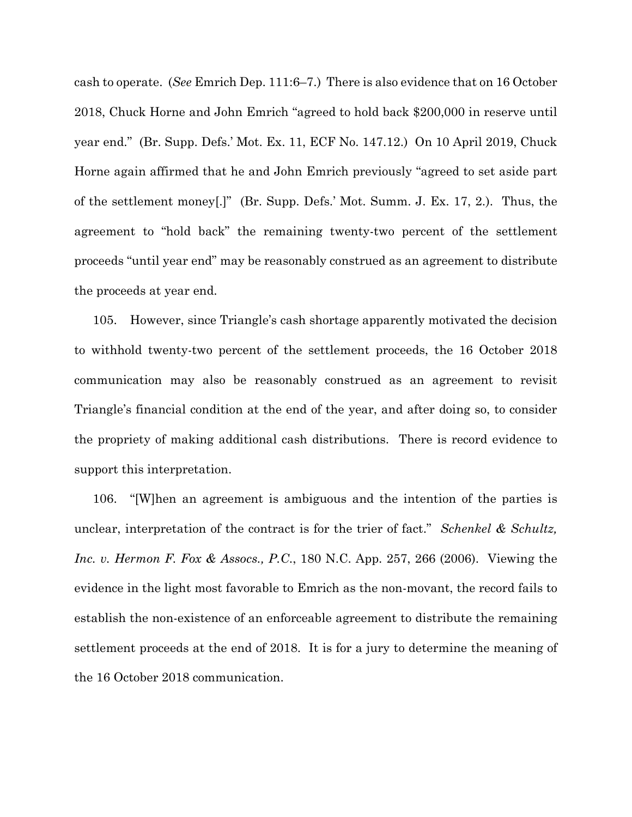cash to operate. (*See* Emrich Dep. 111:6–7.) There is also evidence that on 16 October 2018, Chuck Horne and John Emrich "agreed to hold back \$200,000 in reserve until year end." (Br. Supp. Defs.' Mot. Ex. 11, ECF No. 147.12.) On 10 April 2019, Chuck Horne again affirmed that he and John Emrich previously "agreed to set aside part of the settlement money[.]" (Br. Supp. Defs.' Mot. Summ. J. Ex. 17, 2.). Thus, the agreement to "hold back" the remaining twenty-two percent of the settlement proceeds "until year end" may be reasonably construed as an agreement to distribute the proceeds at year end.

105. However, since Triangle's cash shortage apparently motivated the decision to withhold twenty-two percent of the settlement proceeds, the 16 October 2018 communication may also be reasonably construed as an agreement to revisit Triangle's financial condition at the end of the year, and after doing so, to consider the propriety of making additional cash distributions. There is record evidence to support this interpretation.

106. "[W]hen an agreement is ambiguous and the intention of the parties is unclear, interpretation of the contract is for the trier of fact." *Schenkel & Schultz, Inc. v. Hermon F. Fox & Assocs., P.C*., 180 N.C. App. 257, 266 (2006). Viewing the evidence in the light most favorable to Emrich as the non-movant, the record fails to establish the non-existence of an enforceable agreement to distribute the remaining settlement proceeds at the end of 2018. It is for a jury to determine the meaning of the 16 October 2018 communication.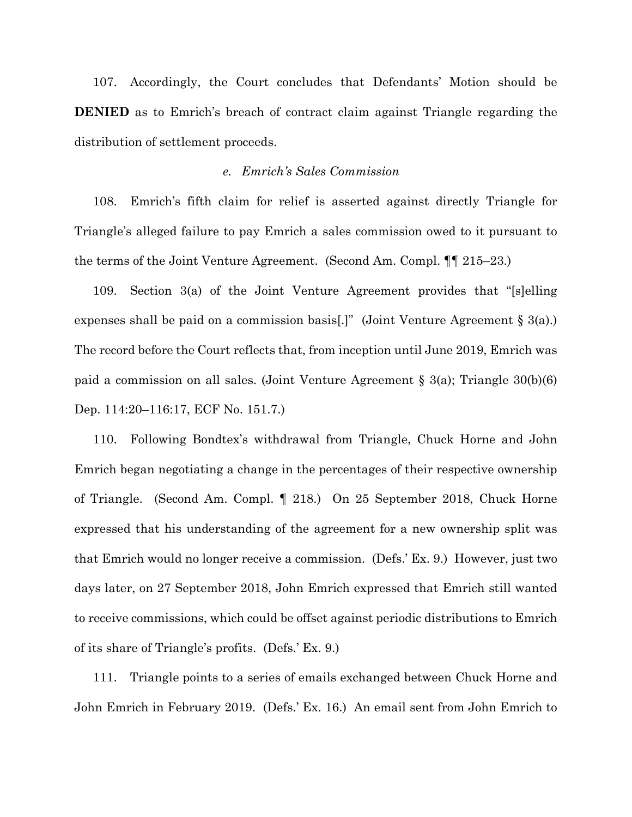107. Accordingly, the Court concludes that Defendants' Motion should be **DENIED** as to Emrich's breach of contract claim against Triangle regarding the distribution of settlement proceeds.

## *e. Emrich's Sales Commission*

108. Emrich's fifth claim for relief is asserted against directly Triangle for Triangle's alleged failure to pay Emrich a sales commission owed to it pursuant to the terms of the Joint Venture Agreement. (Second Am. Compl. ¶¶ 215–23.)

109. Section 3(a) of the Joint Venture Agreement provides that "[s]elling expenses shall be paid on a commission basis[.]" (Joint Venture Agreement § 3(a).) The record before the Court reflects that, from inception until June 2019, Emrich was paid a commission on all sales. (Joint Venture Agreement § 3(a); Triangle 30(b)(6) Dep. 114:20–116:17, ECF No. 151.7.)

110. Following Bondtex's withdrawal from Triangle, Chuck Horne and John Emrich began negotiating a change in the percentages of their respective ownership of Triangle. (Second Am. Compl. ¶ 218.) On 25 September 2018, Chuck Horne expressed that his understanding of the agreement for a new ownership split was that Emrich would no longer receive a commission. (Defs.' Ex. 9.) However, just two days later, on 27 September 2018, John Emrich expressed that Emrich still wanted to receive commissions, which could be offset against periodic distributions to Emrich of its share of Triangle's profits. (Defs.' Ex. 9.)

111. Triangle points to a series of emails exchanged between Chuck Horne and John Emrich in February 2019. (Defs.' Ex. 16.) An email sent from John Emrich to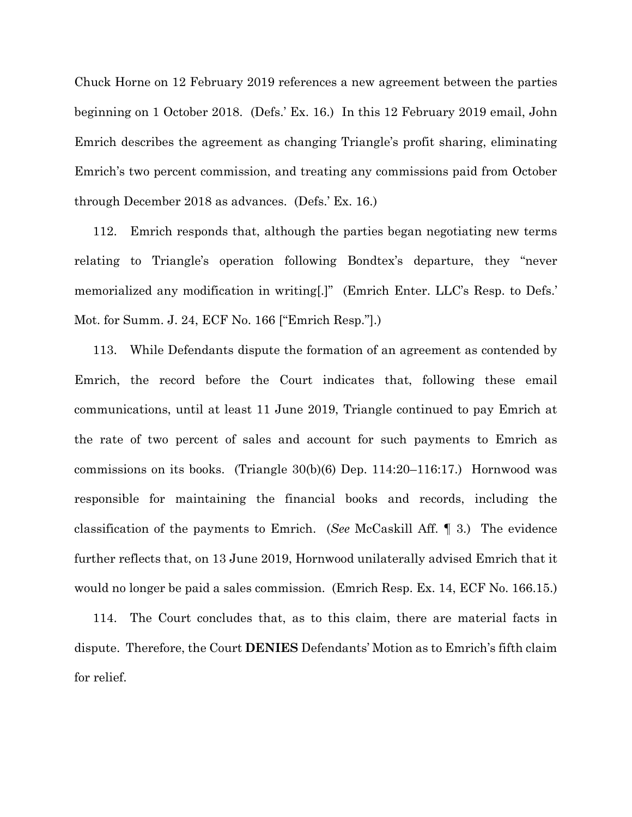Chuck Horne on 12 February 2019 references a new agreement between the parties beginning on 1 October 2018. (Defs.' Ex. 16.) In this 12 February 2019 email, John Emrich describes the agreement as changing Triangle's profit sharing, eliminating Emrich's two percent commission, and treating any commissions paid from October through December 2018 as advances. (Defs.' Ex. 16.)

112. Emrich responds that, although the parties began negotiating new terms relating to Triangle's operation following Bondtex's departure, they "never memorialized any modification in writing[.]" (Emrich Enter. LLC's Resp. to Defs.' Mot. for Summ. J. 24, ECF No. 166 ["Emrich Resp."].)

113. While Defendants dispute the formation of an agreement as contended by Emrich, the record before the Court indicates that, following these email communications, until at least 11 June 2019, Triangle continued to pay Emrich at the rate of two percent of sales and account for such payments to Emrich as commissions on its books. (Triangle 30(b)(6) Dep. 114:20–116:17.) Hornwood was responsible for maintaining the financial books and records, including the classification of the payments to Emrich. (*See* McCaskill Aff. ¶ 3.) The evidence further reflects that, on 13 June 2019, Hornwood unilaterally advised Emrich that it would no longer be paid a sales commission. (Emrich Resp. Ex. 14, ECF No. 166.15.)

114. The Court concludes that, as to this claim, there are material facts in dispute. Therefore, the Court **DENIES** Defendants' Motion as to Emrich's fifth claim for relief.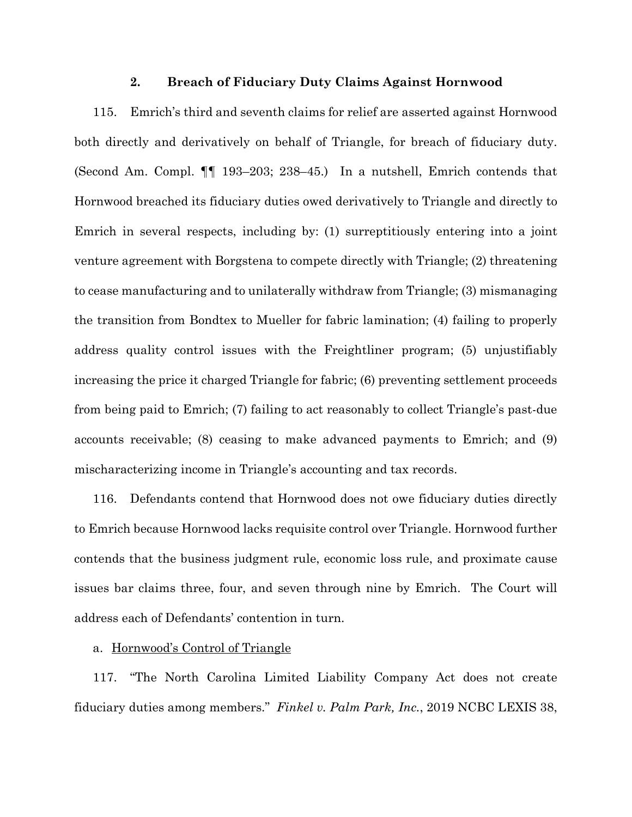### **2. Breach of Fiduciary Duty Claims Against Hornwood**

115. Emrich's third and seventh claims for relief are asserted against Hornwood both directly and derivatively on behalf of Triangle, for breach of fiduciary duty. (Second Am. Compl. ¶¶ 193–203; 238–45.) In a nutshell, Emrich contends that Hornwood breached its fiduciary duties owed derivatively to Triangle and directly to Emrich in several respects, including by: (1) surreptitiously entering into a joint venture agreement with Borgstena to compete directly with Triangle; (2) threatening to cease manufacturing and to unilaterally withdraw from Triangle; (3) mismanaging the transition from Bondtex to Mueller for fabric lamination; (4) failing to properly address quality control issues with the Freightliner program; (5) unjustifiably increasing the price it charged Triangle for fabric; (6) preventing settlement proceeds from being paid to Emrich; (7) failing to act reasonably to collect Triangle's past-due accounts receivable; (8) ceasing to make advanced payments to Emrich; and (9) mischaracterizing income in Triangle's accounting and tax records.

116. Defendants contend that Hornwood does not owe fiduciary duties directly to Emrich because Hornwood lacks requisite control over Triangle. Hornwood further contends that the business judgment rule, economic loss rule, and proximate cause issues bar claims three, four, and seven through nine by Emrich. The Court will address each of Defendants' contention in turn.

# a. Hornwood's Control of Triangle

117. "The North Carolina Limited Liability Company Act does not create fiduciary duties among members." *Finkel v. Palm Park, Inc.*, 2019 NCBC LEXIS 38,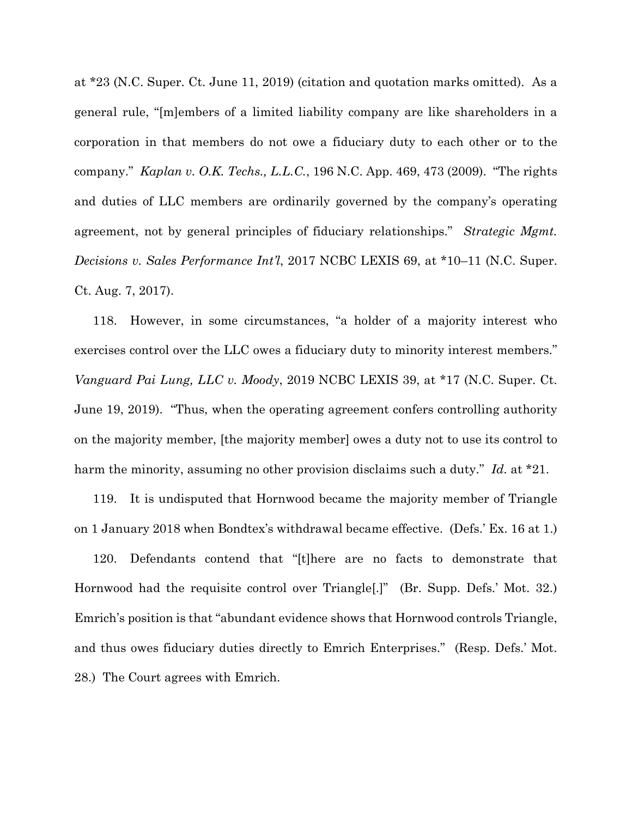at \*23 (N.C. Super. Ct. June 11, 2019) (citation and quotation marks omitted). As a general rule, "[m]embers of a limited liability company are like shareholders in a corporation in that members do not owe a fiduciary duty to each other or to the company." *Kaplan v. O.K. Techs., L.L.C.*, 196 N.C. App. 469, 473 (2009). "The rights and duties of LLC members are ordinarily governed by the company's operating agreement, not by general principles of fiduciary relationships." *Strategic Mgmt. Decisions v. Sales Performance Int'l*, 2017 NCBC LEXIS 69, at \*10–11 (N.C. Super. Ct. Aug. 7, 2017).

118. However, in some circumstances, "a holder of a majority interest who exercises control over the LLC owes a fiduciary duty to minority interest members." *Vanguard Pai Lung, LLC v. Moody*, 2019 NCBC LEXIS 39, at \*17 (N.C. Super. Ct. June 19, 2019). "Thus, when the operating agreement confers controlling authority on the majority member, [the majority member] owes a duty not to use its control to harm the minority, assuming no other provision disclaims such a duty." *Id.* at \*21.

119. It is undisputed that Hornwood became the majority member of Triangle on 1 January 2018 when Bondtex's withdrawal became effective. (Defs.' Ex. 16 at 1.)

120. Defendants contend that "[t]here are no facts to demonstrate that Hornwood had the requisite control over Triangle[.]" (Br. Supp. Defs.' Mot. 32.) Emrich's position is that "abundant evidence shows that Hornwood controls Triangle, and thus owes fiduciary duties directly to Emrich Enterprises." (Resp. Defs.' Mot. 28.) The Court agrees with Emrich.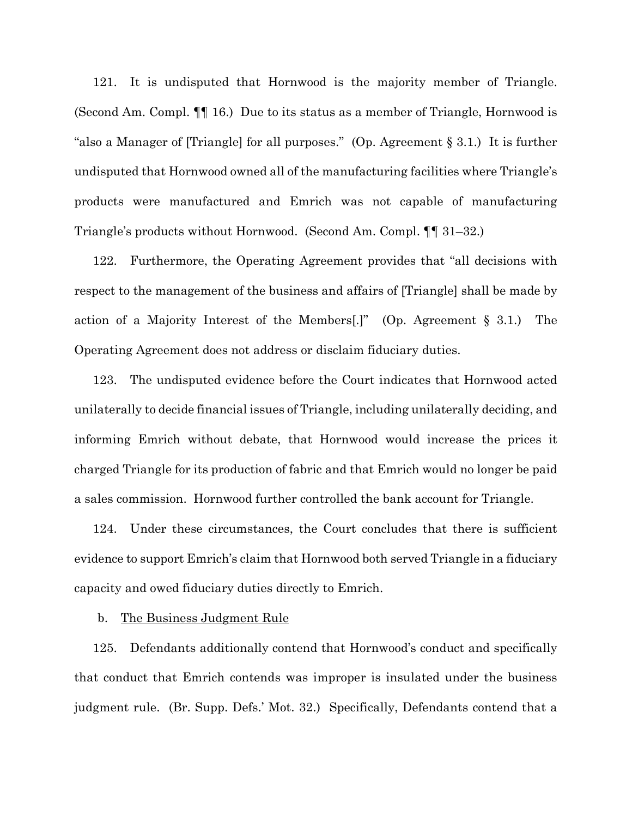121. It is undisputed that Hornwood is the majority member of Triangle. (Second Am. Compl. ¶¶ 16.) Due to its status as a member of Triangle, Hornwood is "also a Manager of [Triangle] for all purposes." (Op. Agreement § 3.1.) It is further undisputed that Hornwood owned all of the manufacturing facilities where Triangle's products were manufactured and Emrich was not capable of manufacturing Triangle's products without Hornwood. (Second Am. Compl. ¶¶ 31–32.)

122. Furthermore, the Operating Agreement provides that "all decisions with respect to the management of the business and affairs of [Triangle] shall be made by action of a Majority Interest of the Members[.]" (Op. Agreement § 3.1.) The Operating Agreement does not address or disclaim fiduciary duties.

123. The undisputed evidence before the Court indicates that Hornwood acted unilaterally to decide financial issues of Triangle, including unilaterally deciding, and informing Emrich without debate, that Hornwood would increase the prices it charged Triangle for its production of fabric and that Emrich would no longer be paid a sales commission. Hornwood further controlled the bank account for Triangle.

124. Under these circumstances, the Court concludes that there is sufficient evidence to support Emrich's claim that Hornwood both served Triangle in a fiduciary capacity and owed fiduciary duties directly to Emrich.

## b. The Business Judgment Rule

125. Defendants additionally contend that Hornwood's conduct and specifically that conduct that Emrich contends was improper is insulated under the business judgment rule. (Br. Supp. Defs.' Mot. 32.) Specifically, Defendants contend that a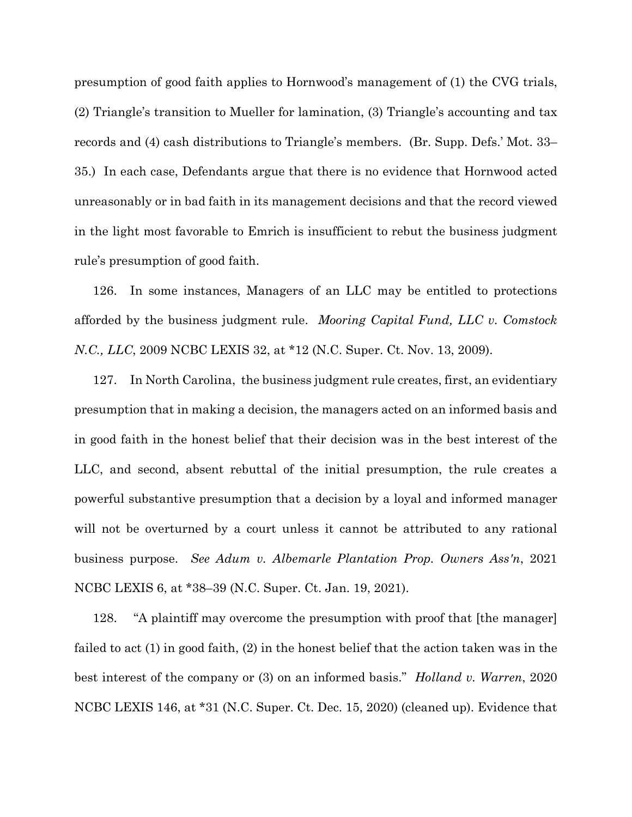presumption of good faith applies to Hornwood's management of (1) the CVG trials, (2) Triangle's transition to Mueller for lamination, (3) Triangle's accounting and tax records and (4) cash distributions to Triangle's members. (Br. Supp. Defs.' Mot. 33– 35.) In each case, Defendants argue that there is no evidence that Hornwood acted unreasonably or in bad faith in its management decisions and that the record viewed in the light most favorable to Emrich is insufficient to rebut the business judgment rule's presumption of good faith.

126. In some instances, Managers of an LLC may be entitled to protections afforded by the business judgment rule. *Mooring Capital Fund, LLC v. Comstock N.C., LLC*, 2009 NCBC LEXIS 32, at \*12 (N.C. Super. Ct. Nov. 13, 2009).

127. In North Carolina, the business judgment rule creates, first, an evidentiary presumption that in making a decision, the managers acted on an informed basis and in good faith in the honest belief that their decision was in the best interest of the LLC, and second, absent rebuttal of the initial presumption, the rule creates a powerful substantive presumption that a decision by a loyal and informed manager will not be overturned by a court unless it cannot be attributed to any rational business purpose. *See Adum v. Albemarle Plantation Prop. Owners Ass'n*, 2021 NCBC LEXIS 6, at \*38–39 (N.C. Super. Ct. Jan. 19, 2021).

128. "A plaintiff may overcome the presumption with proof that [the manager] failed to act (1) in good faith, (2) in the honest belief that the action taken was in the best interest of the company or (3) on an informed basis." *Holland v. Warren*, 2020 NCBC LEXIS 146, at \*31 (N.C. Super. Ct. Dec. 15, 2020) (cleaned up). Evidence that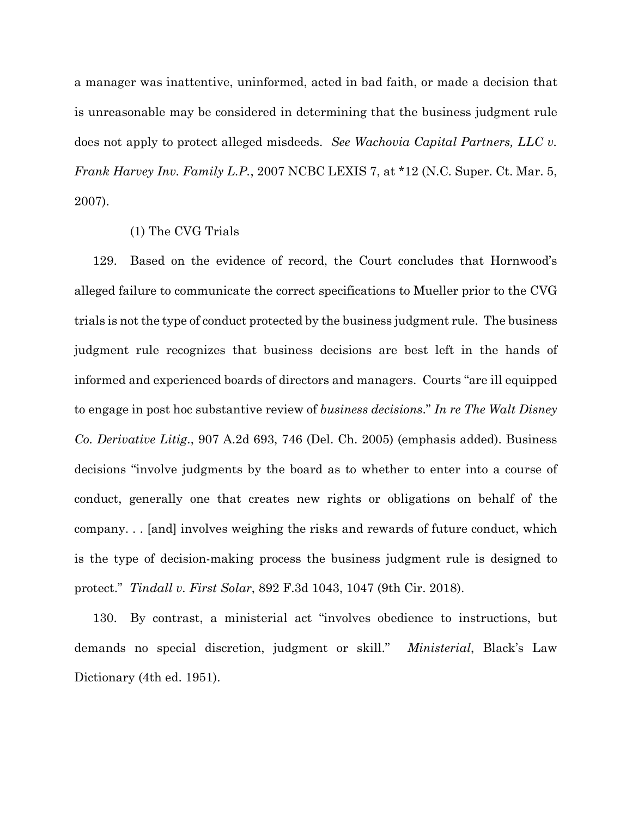a manager was inattentive, uninformed, acted in bad faith, or made a decision that is unreasonable may be considered in determining that the business judgment rule does not apply to protect alleged misdeeds. *See Wachovia Capital Partners, LLC v. Frank Harvey Inv. Family L.P.*, 2007 NCBC LEXIS 7, at \*12 (N.C. Super. Ct. Mar. 5, 2007).

## (1) The CVG Trials

129. Based on the evidence of record, the Court concludes that Hornwood's alleged failure to communicate the correct specifications to Mueller prior to the CVG trials is not the type of conduct protected by the business judgment rule. The business judgment rule recognizes that business decisions are best left in the hands of informed and experienced boards of directors and managers. Courts "are ill equipped to engage in post hoc substantive review of *business decisions*." *In re The Walt Disney Co. Derivative Litig*., 907 A.2d 693, 746 (Del. Ch. 2005) (emphasis added). Business decisions "involve judgments by the board as to whether to enter into a course of conduct, generally one that creates new rights or obligations on behalf of the company. . . [and] involves weighing the risks and rewards of future conduct, which is the type of decision-making process the business judgment rule is designed to protect." *Tindall v. First Solar*, 892 F.3d 1043, 1047 (9th Cir. 2018).

130. By contrast, a ministerial act "involves obedience to instructions, but demands no special discretion, judgment or skill." *Ministerial*, Black's Law Dictionary (4th ed. 1951).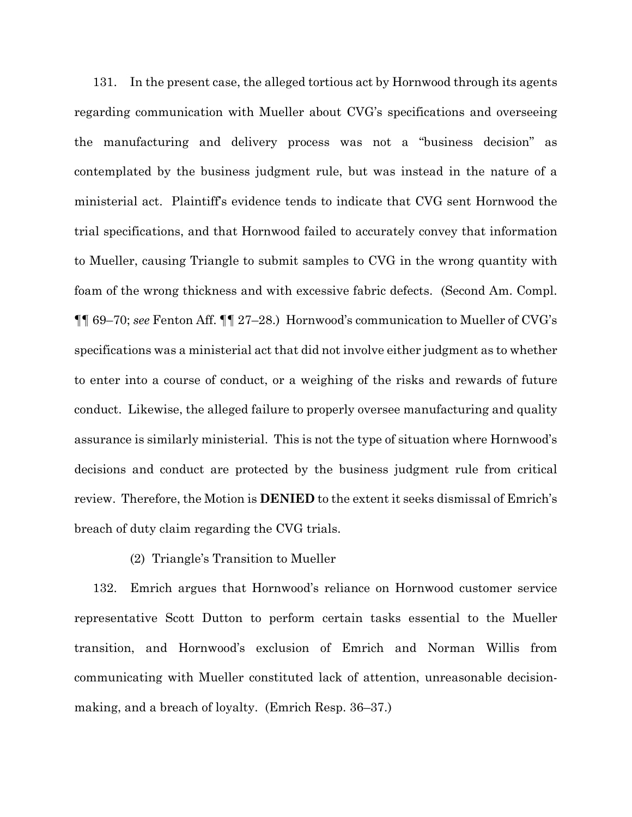131. In the present case, the alleged tortious act by Hornwood through its agents regarding communication with Mueller about CVG's specifications and overseeing the manufacturing and delivery process was not a "business decision" as contemplated by the business judgment rule, but was instead in the nature of a ministerial act. Plaintiff's evidence tends to indicate that CVG sent Hornwood the trial specifications, and that Hornwood failed to accurately convey that information to Mueller, causing Triangle to submit samples to CVG in the wrong quantity with foam of the wrong thickness and with excessive fabric defects. (Second Am. Compl. ¶¶ 69–70; *see* Fenton Aff. ¶¶ 27–28.) Hornwood's communication to Mueller of CVG's specifications was a ministerial act that did not involve either judgment as to whether to enter into a course of conduct, or a weighing of the risks and rewards of future conduct. Likewise, the alleged failure to properly oversee manufacturing and quality assurance is similarly ministerial. This is not the type of situation where Hornwood's decisions and conduct are protected by the business judgment rule from critical review. Therefore, the Motion is **DENIED** to the extent it seeks dismissal of Emrich's breach of duty claim regarding the CVG trials.

# (2) Triangle's Transition to Mueller

132. Emrich argues that Hornwood's reliance on Hornwood customer service representative Scott Dutton to perform certain tasks essential to the Mueller transition, and Hornwood's exclusion of Emrich and Norman Willis from communicating with Mueller constituted lack of attention, unreasonable decisionmaking, and a breach of loyalty. (Emrich Resp. 36–37.)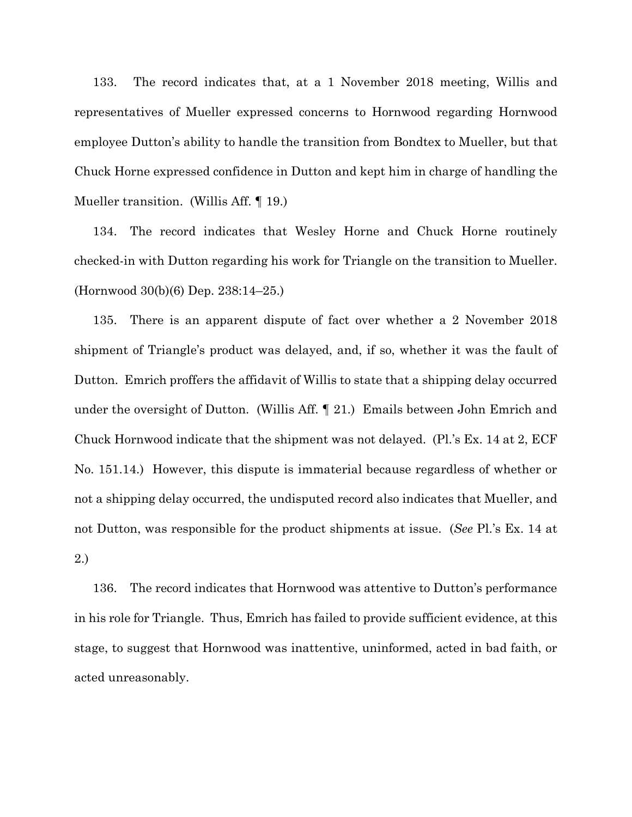133. The record indicates that, at a 1 November 2018 meeting, Willis and representatives of Mueller expressed concerns to Hornwood regarding Hornwood employee Dutton's ability to handle the transition from Bondtex to Mueller, but that Chuck Horne expressed confidence in Dutton and kept him in charge of handling the Mueller transition. (Willis Aff. ¶ 19.)

134. The record indicates that Wesley Horne and Chuck Horne routinely checked-in with Dutton regarding his work for Triangle on the transition to Mueller. (Hornwood 30(b)(6) Dep. 238:14–25.)

135. There is an apparent dispute of fact over whether a 2 November 2018 shipment of Triangle's product was delayed, and, if so, whether it was the fault of Dutton. Emrich proffers the affidavit of Willis to state that a shipping delay occurred under the oversight of Dutton. (Willis Aff. ¶ 21.) Emails between John Emrich and Chuck Hornwood indicate that the shipment was not delayed. (Pl.'s Ex. 14 at 2, ECF No. 151.14.) However, this dispute is immaterial because regardless of whether or not a shipping delay occurred, the undisputed record also indicates that Mueller, and not Dutton, was responsible for the product shipments at issue. (*See* Pl.'s Ex. 14 at 2.)

136. The record indicates that Hornwood was attentive to Dutton's performance in his role for Triangle. Thus, Emrich has failed to provide sufficient evidence, at this stage, to suggest that Hornwood was inattentive, uninformed, acted in bad faith, or acted unreasonably.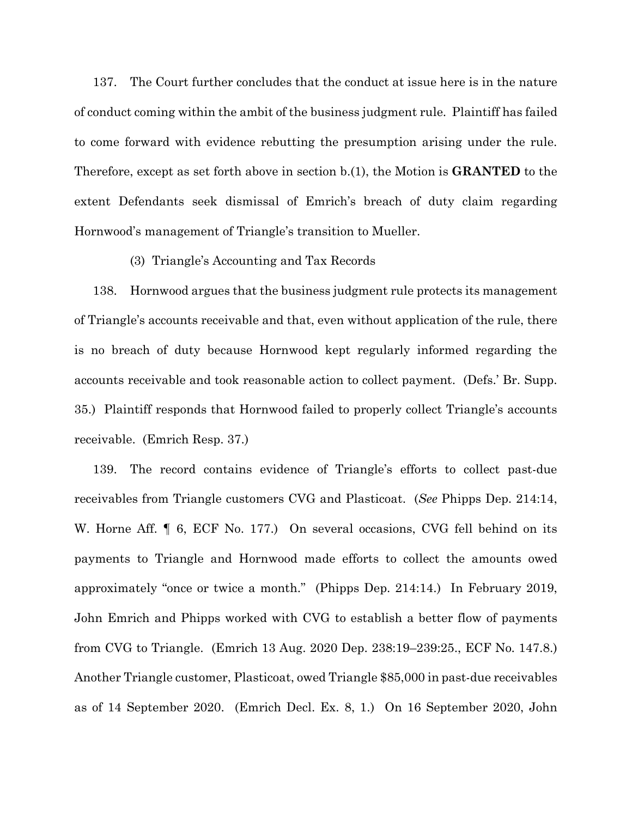137. The Court further concludes that the conduct at issue here is in the nature of conduct coming within the ambit of the business judgment rule. Plaintiff has failed to come forward with evidence rebutting the presumption arising under the rule. Therefore, except as set forth above in section b.(1), the Motion is **GRANTED** to the extent Defendants seek dismissal of Emrich's breach of duty claim regarding Hornwood's management of Triangle's transition to Mueller.

## (3) Triangle's Accounting and Tax Records

138. Hornwood argues that the business judgment rule protects its management of Triangle's accounts receivable and that, even without application of the rule, there is no breach of duty because Hornwood kept regularly informed regarding the accounts receivable and took reasonable action to collect payment. (Defs.' Br. Supp. 35.) Plaintiff responds that Hornwood failed to properly collect Triangle's accounts receivable. (Emrich Resp. 37.)

139. The record contains evidence of Triangle's efforts to collect past-due receivables from Triangle customers CVG and Plasticoat. (*See* Phipps Dep. 214:14, W. Horne Aff.  $\parallel$  6, ECF No. 177.) On several occasions, CVG fell behind on its payments to Triangle and Hornwood made efforts to collect the amounts owed approximately "once or twice a month." (Phipps Dep. 214:14.) In February 2019, John Emrich and Phipps worked with CVG to establish a better flow of payments from CVG to Triangle. (Emrich 13 Aug. 2020 Dep. 238:19–239:25., ECF No. 147.8.) Another Triangle customer, Plasticoat, owed Triangle \$85,000 in past-due receivables as of 14 September 2020. (Emrich Decl. Ex. 8, 1.) On 16 September 2020, John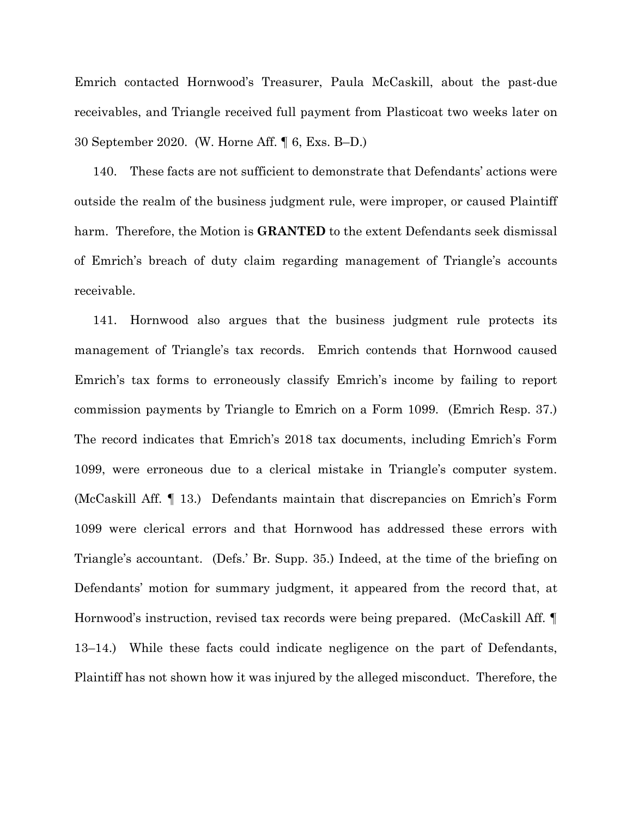Emrich contacted Hornwood's Treasurer, Paula McCaskill, about the past-due receivables, and Triangle received full payment from Plasticoat two weeks later on 30 September 2020. (W. Horne Aff. ¶ 6, Exs. B–D.)

140. These facts are not sufficient to demonstrate that Defendants' actions were outside the realm of the business judgment rule, were improper, or caused Plaintiff harm. Therefore, the Motion is **GRANTED** to the extent Defendants seek dismissal of Emrich's breach of duty claim regarding management of Triangle's accounts receivable.

141. Hornwood also argues that the business judgment rule protects its management of Triangle's tax records. Emrich contends that Hornwood caused Emrich's tax forms to erroneously classify Emrich's income by failing to report commission payments by Triangle to Emrich on a Form 1099. (Emrich Resp. 37.) The record indicates that Emrich's 2018 tax documents, including Emrich's Form 1099, were erroneous due to a clerical mistake in Triangle's computer system. (McCaskill Aff. ¶ 13.) Defendants maintain that discrepancies on Emrich's Form 1099 were clerical errors and that Hornwood has addressed these errors with Triangle's accountant. (Defs.' Br. Supp. 35.) Indeed, at the time of the briefing on Defendants' motion for summary judgment, it appeared from the record that, at Hornwood's instruction, revised tax records were being prepared. (McCaskill Aff. ¶ 13–14.) While these facts could indicate negligence on the part of Defendants, Plaintiff has not shown how it was injured by the alleged misconduct. Therefore, the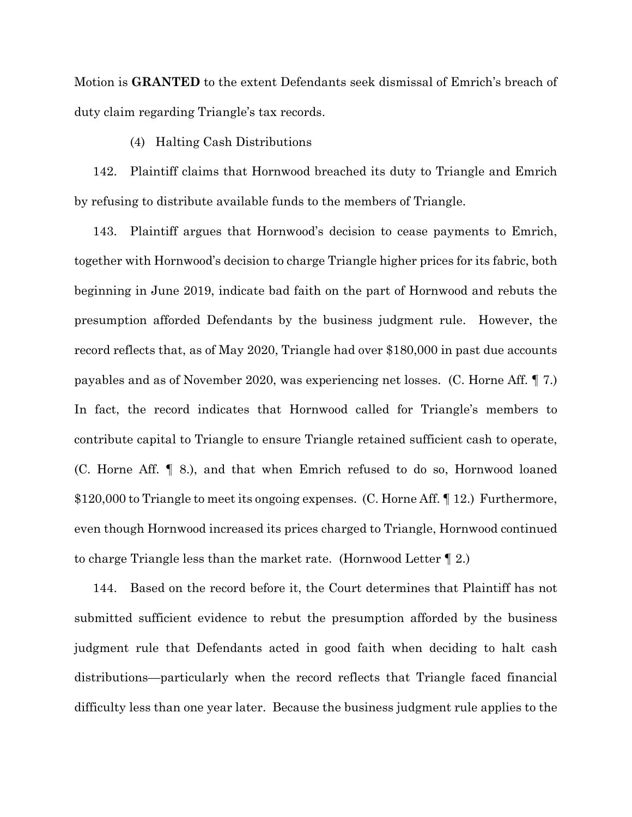Motion is **GRANTED** to the extent Defendants seek dismissal of Emrich's breach of duty claim regarding Triangle's tax records.

# (4) Halting Cash Distributions

142. Plaintiff claims that Hornwood breached its duty to Triangle and Emrich by refusing to distribute available funds to the members of Triangle.

143. Plaintiff argues that Hornwood's decision to cease payments to Emrich, together with Hornwood's decision to charge Triangle higher prices for its fabric, both beginning in June 2019, indicate bad faith on the part of Hornwood and rebuts the presumption afforded Defendants by the business judgment rule. However, the record reflects that, as of May 2020, Triangle had over \$180,000 in past due accounts payables and as of November 2020, was experiencing net losses. (C. Horne Aff. ¶ 7.) In fact, the record indicates that Hornwood called for Triangle's members to contribute capital to Triangle to ensure Triangle retained sufficient cash to operate, (C. Horne Aff. ¶ 8.), and that when Emrich refused to do so, Hornwood loaned \$120,000 to Triangle to meet its ongoing expenses. (C. Horne Aff. ¶ 12.) Furthermore, even though Hornwood increased its prices charged to Triangle, Hornwood continued to charge Triangle less than the market rate. (Hornwood Letter ¶ 2.)

144. Based on the record before it, the Court determines that Plaintiff has not submitted sufficient evidence to rebut the presumption afforded by the business judgment rule that Defendants acted in good faith when deciding to halt cash distributions—particularly when the record reflects that Triangle faced financial difficulty less than one year later. Because the business judgment rule applies to the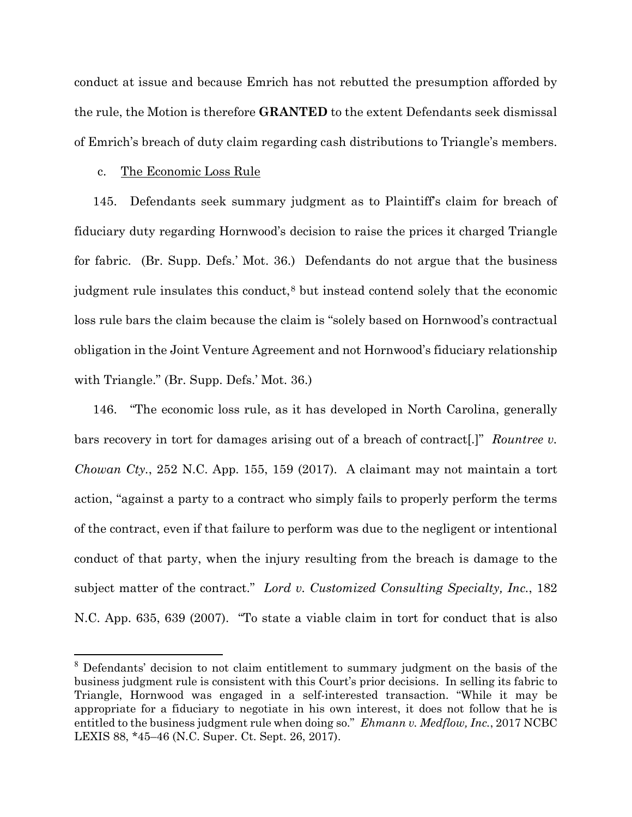conduct at issue and because Emrich has not rebutted the presumption afforded by the rule, the Motion is therefore **GRANTED** to the extent Defendants seek dismissal of Emrich's breach of duty claim regarding cash distributions to Triangle's members.

# c. The Economic Loss Rule

145. Defendants seek summary judgment as to Plaintiff's claim for breach of fiduciary duty regarding Hornwood's decision to raise the prices it charged Triangle for fabric. (Br. Supp. Defs.' Mot. 36.) Defendants do not argue that the business judgment rule insulates this conduct,[8](#page-44-0) but instead contend solely that the economic loss rule bars the claim because the claim is "solely based on Hornwood's contractual obligation in the Joint Venture Agreement and not Hornwood's fiduciary relationship with Triangle." (Br. Supp. Defs.' Mot. 36.)

146. "The economic loss rule, as it has developed in North Carolina, generally bars recovery in tort for damages arising out of a breach of contract[.]" *Rountree v. Chowan Cty.*, 252 N.C. App. 155, 159 (2017). A claimant may not maintain a tort action, "against a party to a contract who simply fails to properly perform the terms of the contract, even if that failure to perform was due to the negligent or intentional conduct of that party, when the injury resulting from the breach is damage to the subject matter of the contract." *Lord v. Customized Consulting Specialty, Inc.*, 182 N.C. App. 635, 639 (2007). "To state a viable claim in tort for conduct that is also

<span id="page-44-0"></span><sup>&</sup>lt;sup>8</sup> Defendants' decision to not claim entitlement to summary judgment on the basis of the business judgment rule is consistent with this Court's prior decisions. In selling its fabric to Triangle, Hornwood was engaged in a self-interested transaction. "While it may be appropriate for a fiduciary to negotiate in his own interest, it does not follow that he is entitled to the business judgment rule when doing so." *Ehmann v. Medflow, Inc.*, 2017 NCBC LEXIS 88, \*45–46 (N.C. Super. Ct. Sept. 26, 2017).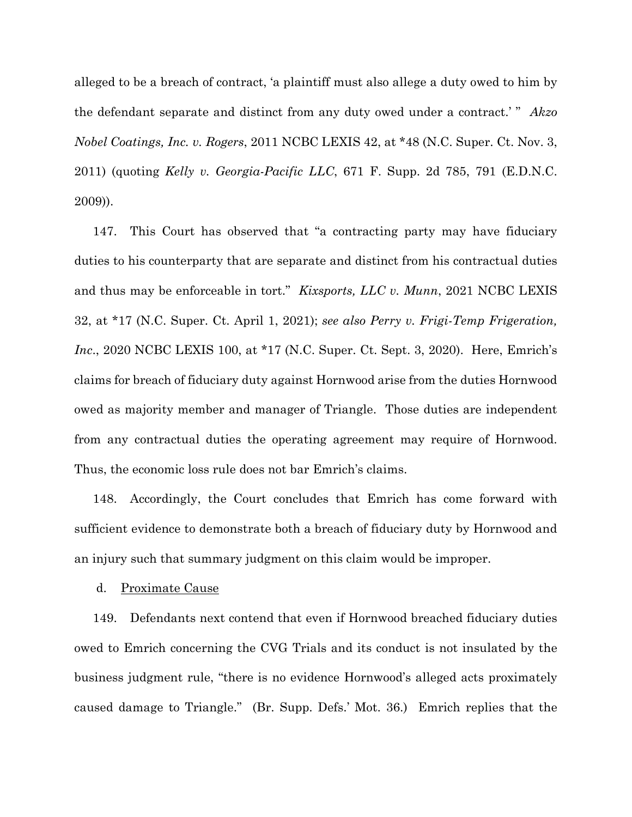alleged to be a breach of contract, 'a plaintiff must also allege a duty owed to him by the defendant separate and distinct from any duty owed under a contract.' " *Akzo Nobel Coatings, Inc. v. Rogers*, 2011 NCBC LEXIS 42, at \*48 (N.C. Super. Ct. Nov. 3, 2011) (quoting *Kelly v. Georgia-Pacific LLC*, 671 F. Supp. 2d 785, 791 (E.D.N.C. 2009)).

147. This Court has observed that "a contracting party may have fiduciary duties to his counterparty that are separate and distinct from his contractual duties and thus may be enforceable in tort." *Kixsports, LLC v. Munn*, 2021 NCBC LEXIS 32, at \*17 (N.C. Super. Ct. April 1, 2021); *see also Perry v. Frigi-Temp Frigeration, Inc*., 2020 NCBC LEXIS 100, at \*17 (N.C. Super. Ct. Sept. 3, 2020). Here, Emrich's claims for breach of fiduciary duty against Hornwood arise from the duties Hornwood owed as majority member and manager of Triangle. Those duties are independent from any contractual duties the operating agreement may require of Hornwood. Thus, the economic loss rule does not bar Emrich's claims.

148. Accordingly, the Court concludes that Emrich has come forward with sufficient evidence to demonstrate both a breach of fiduciary duty by Hornwood and an injury such that summary judgment on this claim would be improper.

### d. Proximate Cause

149. Defendants next contend that even if Hornwood breached fiduciary duties owed to Emrich concerning the CVG Trials and its conduct is not insulated by the business judgment rule, "there is no evidence Hornwood's alleged acts proximately caused damage to Triangle." (Br. Supp. Defs.' Mot. 36.) Emrich replies that the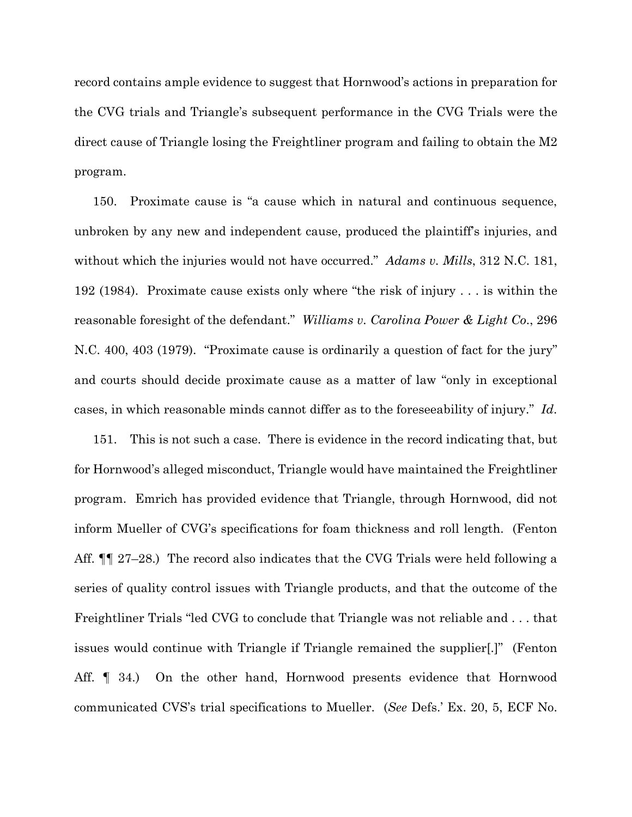record contains ample evidence to suggest that Hornwood's actions in preparation for the CVG trials and Triangle's subsequent performance in the CVG Trials were the direct cause of Triangle losing the Freightliner program and failing to obtain the M2 program.

150. Proximate cause is "a cause which in natural and continuous sequence, unbroken by any new and independent cause, produced the plaintiff's injuries, and without which the injuries would not have occurred." *Adams v. Mills*, 312 N.C. 181, 192 (1984). Proximate cause exists only where "the risk of injury . . . is within the reasonable foresight of the defendant." *Williams v. Carolina Power & Light Co*., 296 N.C. 400, 403 (1979). "Proximate cause is ordinarily a question of fact for the jury" and courts should decide proximate cause as a matter of law "only in exceptional cases, in which reasonable minds cannot differ as to the foreseeability of injury." *Id*.

151. This is not such a case. There is evidence in the record indicating that, but for Hornwood's alleged misconduct, Triangle would have maintained the Freightliner program. Emrich has provided evidence that Triangle, through Hornwood, did not inform Mueller of CVG's specifications for foam thickness and roll length. (Fenton Aff. ¶¶ 27–28.) The record also indicates that the CVG Trials were held following a series of quality control issues with Triangle products, and that the outcome of the Freightliner Trials "led CVG to conclude that Triangle was not reliable and . . . that issues would continue with Triangle if Triangle remained the supplier[.]" (Fenton Aff. ¶ 34.) On the other hand, Hornwood presents evidence that Hornwood communicated CVS's trial specifications to Mueller. (*See* Defs.' Ex. 20, 5, ECF No.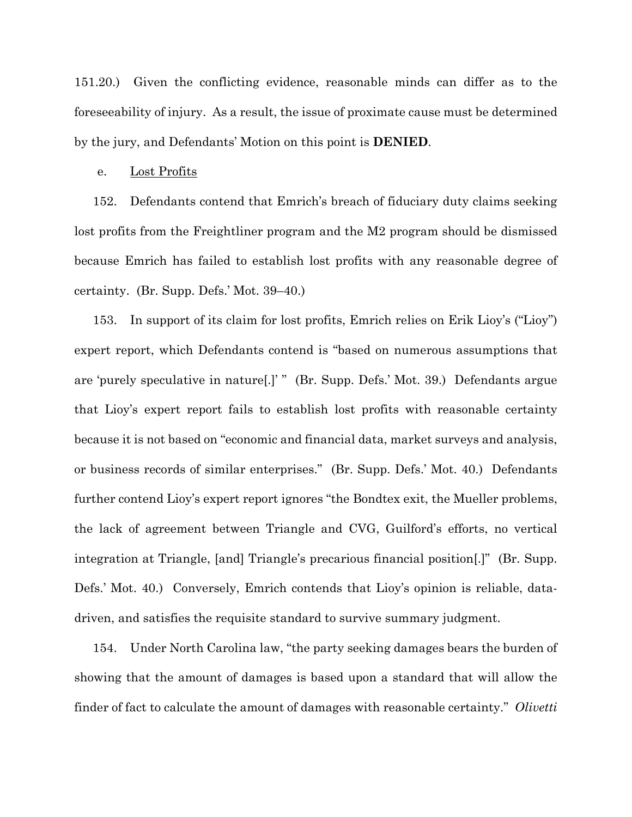151.20.) Given the conflicting evidence, reasonable minds can differ as to the foreseeability of injury. As a result, the issue of proximate cause must be determined by the jury, and Defendants' Motion on this point is **DENIED**.

### e. Lost Profits

152. Defendants contend that Emrich's breach of fiduciary duty claims seeking lost profits from the Freightliner program and the M2 program should be dismissed because Emrich has failed to establish lost profits with any reasonable degree of certainty. (Br. Supp. Defs.' Mot. 39–40.)

153. In support of its claim for lost profits, Emrich relies on Erik Lioy's ("Lioy") expert report, which Defendants contend is "based on numerous assumptions that are 'purely speculative in nature[.]' " (Br. Supp. Defs.' Mot. 39.) Defendants argue that Lioy's expert report fails to establish lost profits with reasonable certainty because it is not based on "economic and financial data, market surveys and analysis, or business records of similar enterprises." (Br. Supp. Defs.' Mot. 40.) Defendants further contend Lioy's expert report ignores "the Bondtex exit, the Mueller problems, the lack of agreement between Triangle and CVG, Guilford's efforts, no vertical integration at Triangle, [and] Triangle's precarious financial position[.]" (Br. Supp. Defs.' Mot. 40.) Conversely, Emrich contends that Lioy's opinion is reliable, datadriven, and satisfies the requisite standard to survive summary judgment.

154. Under North Carolina law, "the party seeking damages bears the burden of showing that the amount of damages is based upon a standard that will allow the finder of fact to calculate the amount of damages with reasonable certainty." *Olivetti*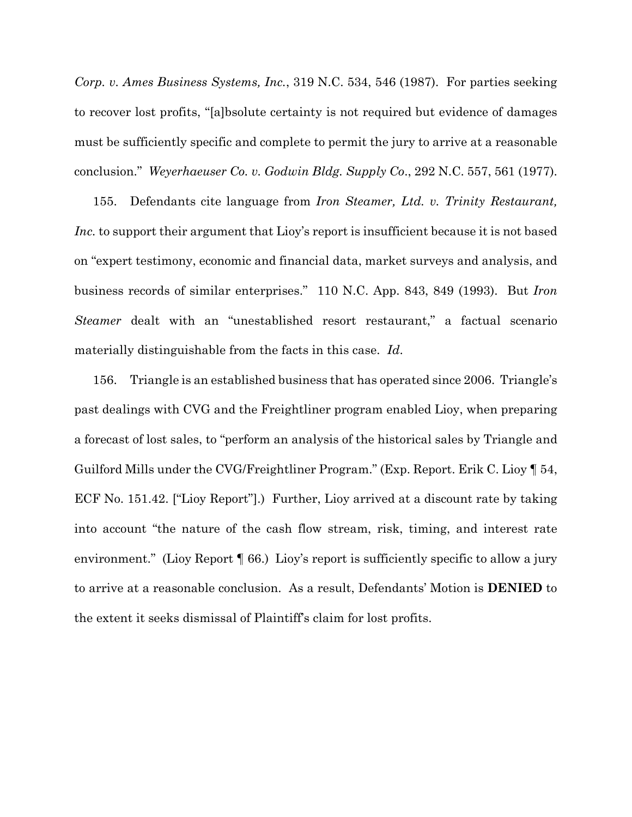*Corp. v. Ames Business Systems, Inc.*, 319 N.C. 534, 546 (1987). For parties seeking to recover lost profits, "[a]bsolute certainty is not required but evidence of damages must be sufficiently specific and complete to permit the jury to arrive at a reasonable conclusion." *Weyerhaeuser Co. v. Godwin Bldg. Supply Co*., 292 N.C. 557, 561 (1977).

155. Defendants cite language from *Iron Steamer, Ltd. v. Trinity Restaurant, Inc.* to support their argument that Lioy's report is insufficient because it is not based on "expert testimony, economic and financial data, market surveys and analysis, and business records of similar enterprises." 110 N.C. App. 843, 849 (1993). But *Iron Steamer* dealt with an "unestablished resort restaurant," a factual scenario materially distinguishable from the facts in this case. *Id*.

156. Triangle is an established business that has operated since 2006. Triangle's past dealings with CVG and the Freightliner program enabled Lioy, when preparing a forecast of lost sales, to "perform an analysis of the historical sales by Triangle and Guilford Mills under the CVG/Freightliner Program." (Exp. Report. Erik C. Lioy ¶ 54, ECF No. 151.42. ["Lioy Report"].) Further, Lioy arrived at a discount rate by taking into account "the nature of the cash flow stream, risk, timing, and interest rate environment." (Lioy Report  $\P$  66.) Lioy's report is sufficiently specific to allow a jury to arrive at a reasonable conclusion. As a result, Defendants' Motion is **DENIED** to the extent it seeks dismissal of Plaintiff's claim for lost profits.